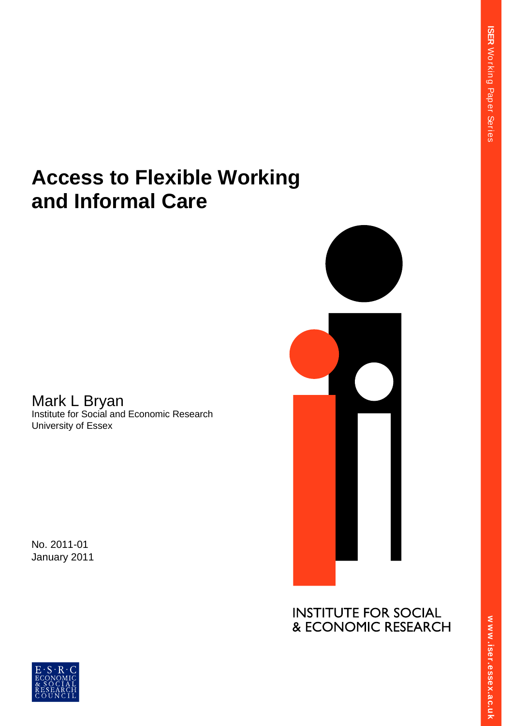**ER** 

 $\overline{\phantom{a}}$ 

# **Access to Flexible Working and Informal Care**

Mark L Bryan Institute for Social and Economic Research University of Essex

No. 2011-01 January 2011



**INSTITUTE FOR SOCIAL .**<br>**a** R **S ex.**<br>-<br>-**Side**<br>T **.essex. er.essex.ac.uk**



**w w .iser.essex.ac.uk**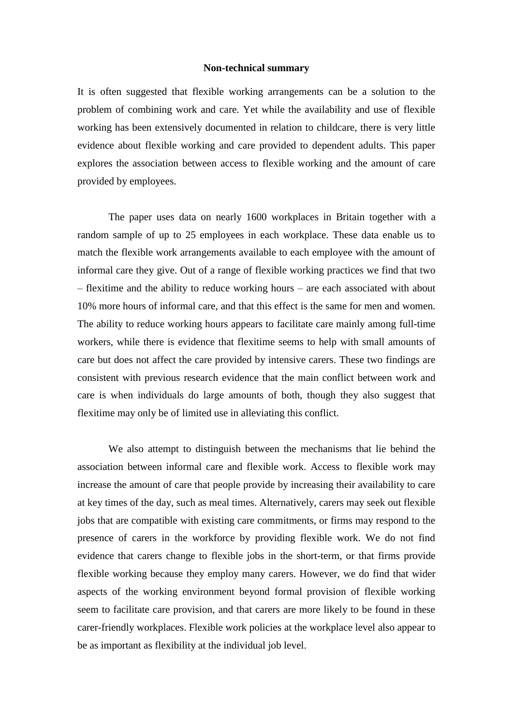### **Non-technical summary**

It is often suggested that flexible working arrangements can be a solution to the problem of combining work and care. Yet while the availability and use of flexible working has been extensively documented in relation to childcare, there is very little evidence about flexible working and care provided to dependent adults. This paper explores the association between access to flexible working and the amount of care provided by employees.

The paper uses data on nearly 1600 workplaces in Britain together with a random sample of up to 25 employees in each workplace. These data enable us to match the flexible work arrangements available to each employee with the amount of informal care they give. Out of a range of flexible working practices we find that two – flexitime and the ability to reduce working hours – are each associated with about 10% more hours of informal care, and that this effect is the same for men and women. The ability to reduce working hours appears to facilitate care mainly among full-time workers, while there is evidence that flexitime seems to help with small amounts of care but does not affect the care provided by intensive carers. These two findings are consistent with previous research evidence that the main conflict between work and care is when individuals do large amounts of both, though they also suggest that flexitime may only be of limited use in alleviating this conflict.

We also attempt to distinguish between the mechanisms that lie behind the association between informal care and flexible work. Access to flexible work may increase the amount of care that people provide by increasing their availability to care at key times of the day, such as meal times. Alternatively, carers may seek out flexible jobs that are compatible with existing care commitments, or firms may respond to the presence of carers in the workforce by providing flexible work. We do not find evidence that carers change to flexible jobs in the short-term, or that firms provide flexible working because they employ many carers. However, we do find that wider aspects of the working environment beyond formal provision of flexible working seem to facilitate care provision, and that carers are more likely to be found in these carer-friendly workplaces. Flexible work policies at the workplace level also appear to be as important as flexibility at the individual job level.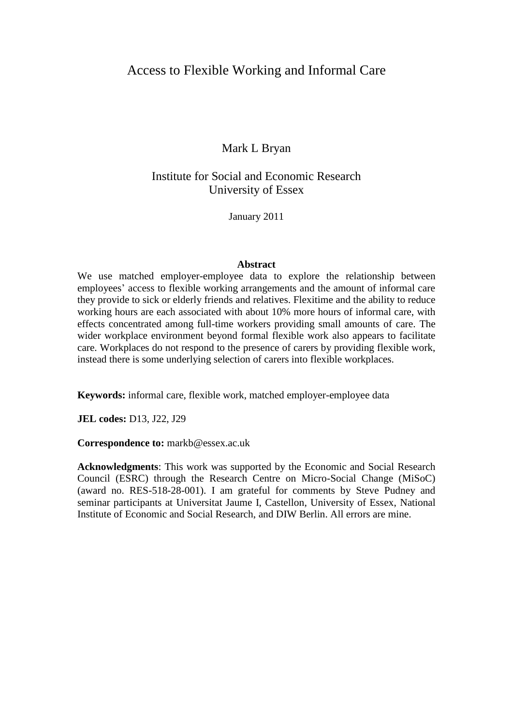# Access to Flexible Working and Informal Care

# Mark L Bryan

# Institute for Social and Economic Research University of Essex

January 2011

## **Abstract**

We use matched employer-employee data to explore the relationship between employees' access to flexible working arrangements and the amount of informal care they provide to sick or elderly friends and relatives. Flexitime and the ability to reduce working hours are each associated with about 10% more hours of informal care, with effects concentrated among full-time workers providing small amounts of care. The wider workplace environment beyond formal flexible work also appears to facilitate care. Workplaces do not respond to the presence of carers by providing flexible work, instead there is some underlying selection of carers into flexible workplaces.

**Keywords:** informal care, flexible work, matched employer-employee data

**JEL codes:** D13, J22, J29

**Correspondence to:** markb@essex.ac.uk

**Acknowledgments**: This work was supported by the Economic and Social Research Council (ESRC) through the Research Centre on Micro-Social Change (MiSoC) (award no. RES-518-28-001). I am grateful for comments by Steve Pudney and seminar participants at Universitat Jaume I, Castellon, University of Essex, National Institute of Economic and Social Research, and DIW Berlin. All errors are mine.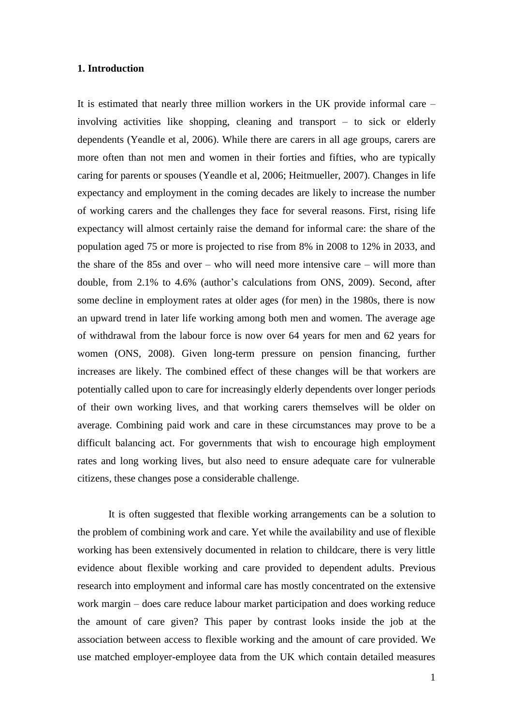## **1. Introduction**

It is estimated that nearly three million workers in the UK provide informal care – involving activities like shopping, cleaning and transport – to sick or elderly dependents (Yeandle et al, 2006). While there are carers in all age groups, carers are more often than not men and women in their forties and fifties, who are typically caring for parents or spouses (Yeandle et al, 2006; Heitmueller, 2007). Changes in life expectancy and employment in the coming decades are likely to increase the number of working carers and the challenges they face for several reasons. First, rising life expectancy will almost certainly raise the demand for informal care: the share of the population aged 75 or more is projected to rise from 8% in 2008 to 12% in 2033, and the share of the 85s and over – who will need more intensive care – will more than double, from 2.1% to 4.6% (author"s calculations from ONS, 2009). Second, after some decline in employment rates at older ages (for men) in the 1980s, there is now an upward trend in later life working among both men and women. The average age of withdrawal from the labour force is now over 64 years for men and 62 years for women (ONS, 2008). Given long-term pressure on pension financing, further increases are likely. The combined effect of these changes will be that workers are potentially called upon to care for increasingly elderly dependents over longer periods of their own working lives, and that working carers themselves will be older on average. Combining paid work and care in these circumstances may prove to be a difficult balancing act. For governments that wish to encourage high employment rates and long working lives, but also need to ensure adequate care for vulnerable citizens, these changes pose a considerable challenge.

It is often suggested that flexible working arrangements can be a solution to the problem of combining work and care. Yet while the availability and use of flexible working has been extensively documented in relation to childcare, there is very little evidence about flexible working and care provided to dependent adults. Previous research into employment and informal care has mostly concentrated on the extensive work margin – does care reduce labour market participation and does working reduce the amount of care given? This paper by contrast looks inside the job at the association between access to flexible working and the amount of care provided. We use matched employer-employee data from the UK which contain detailed measures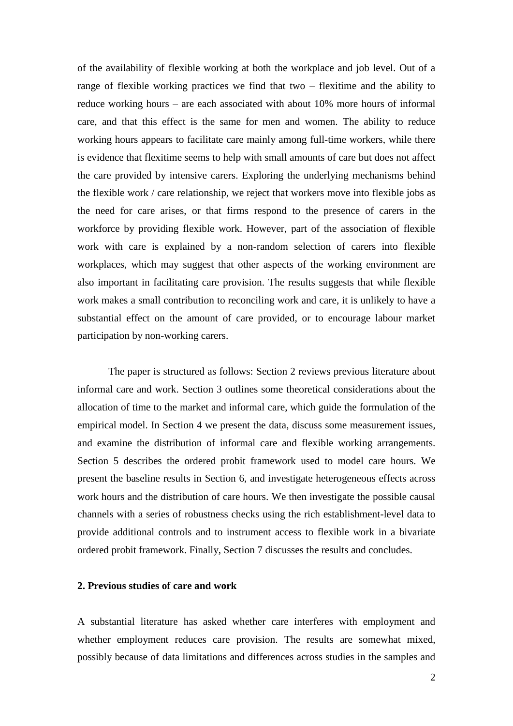of the availability of flexible working at both the workplace and job level. Out of a range of flexible working practices we find that two – flexitime and the ability to reduce working hours – are each associated with about 10% more hours of informal care, and that this effect is the same for men and women. The ability to reduce working hours appears to facilitate care mainly among full-time workers, while there is evidence that flexitime seems to help with small amounts of care but does not affect the care provided by intensive carers. Exploring the underlying mechanisms behind the flexible work / care relationship, we reject that workers move into flexible jobs as the need for care arises, or that firms respond to the presence of carers in the workforce by providing flexible work. However, part of the association of flexible work with care is explained by a non-random selection of carers into flexible workplaces, which may suggest that other aspects of the working environment are also important in facilitating care provision. The results suggests that while flexible work makes a small contribution to reconciling work and care, it is unlikely to have a substantial effect on the amount of care provided, or to encourage labour market participation by non-working carers.

The paper is structured as follows: Section 2 reviews previous literature about informal care and work. Section 3 outlines some theoretical considerations about the allocation of time to the market and informal care, which guide the formulation of the empirical model. In Section 4 we present the data, discuss some measurement issues, and examine the distribution of informal care and flexible working arrangements. Section 5 describes the ordered probit framework used to model care hours. We present the baseline results in Section 6, and investigate heterogeneous effects across work hours and the distribution of care hours. We then investigate the possible causal channels with a series of robustness checks using the rich establishment-level data to provide additional controls and to instrument access to flexible work in a bivariate ordered probit framework. Finally, Section 7 discusses the results and concludes.

# **2. Previous studies of care and work**

A substantial literature has asked whether care interferes with employment and whether employment reduces care provision. The results are somewhat mixed, possibly because of data limitations and differences across studies in the samples and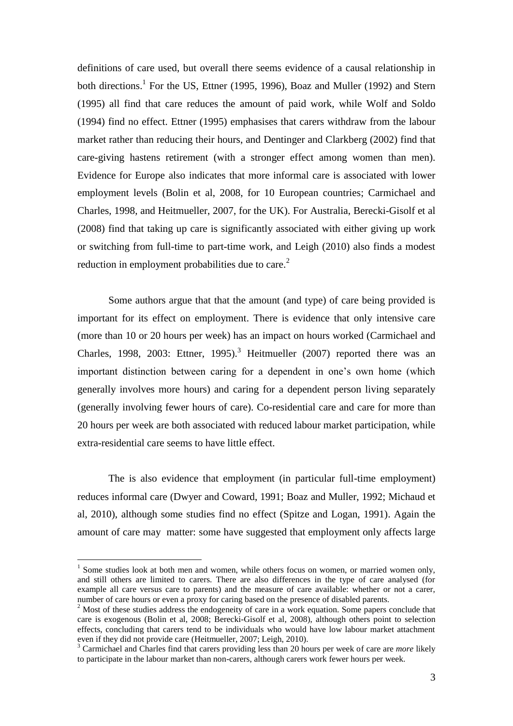definitions of care used, but overall there seems evidence of a causal relationship in both directions.<sup>1</sup> For the US, Ettner (1995, 1996), Boaz and Muller (1992) and Stern (1995) all find that care reduces the amount of paid work, while Wolf and Soldo (1994) find no effect. Ettner (1995) emphasises that carers withdraw from the labour market rather than reducing their hours, and Dentinger and Clarkberg (2002) find that care-giving hastens retirement (with a stronger effect among women than men). Evidence for Europe also indicates that more informal care is associated with lower employment levels (Bolin et al, 2008, for 10 European countries; Carmichael and Charles, 1998, and Heitmueller, 2007, for the UK). For Australia, Berecki-Gisolf et al (2008) find that taking up care is significantly associated with either giving up work or switching from full-time to part-time work, and Leigh (2010) also finds a modest reduction in employment probabilities due to care.<sup>2</sup>

Some authors argue that that the amount (and type) of care being provided is important for its effect on employment. There is evidence that only intensive care (more than 10 or 20 hours per week) has an impact on hours worked (Carmichael and Charles, 1998, 2003: Ettner, 1995).<sup>3</sup> Heitmueller (2007) reported there was an important distinction between caring for a dependent in one"s own home (which generally involves more hours) and caring for a dependent person living separately (generally involving fewer hours of care). Co-residential care and care for more than 20 hours per week are both associated with reduced labour market participation, while extra-residential care seems to have little effect.

The is also evidence that employment (in particular full-time employment) reduces informal care (Dwyer and Coward, 1991; Boaz and Muller, 1992; Michaud et al, 2010), although some studies find no effect (Spitze and Logan, 1991). Again the amount of care may matter: some have suggested that employment only affects large

 $\overline{a}$ 

 $<sup>1</sup>$  Some studies look at both men and women, while others focus on women, or married women only,</sup> and still others are limited to carers. There are also differences in the type of care analysed (for example all care versus care to parents) and the measure of care available: whether or not a carer, number of care hours or even a proxy for caring based on the presence of disabled parents.

<sup>&</sup>lt;sup>2</sup> Most of these studies address the endogeneity of care in a work equation. Some papers conclude that care is exogenous (Bolin et al, 2008; Berecki-Gisolf et al, 2008), although others point to selection effects, concluding that carers tend to be individuals who would have low labour market attachment even if they did not provide care (Heitmueller, 2007; Leigh, 2010).

<sup>3</sup> Carmichael and Charles find that carers providing less than 20 hours per week of care are *more* likely to participate in the labour market than non-carers, although carers work fewer hours per week.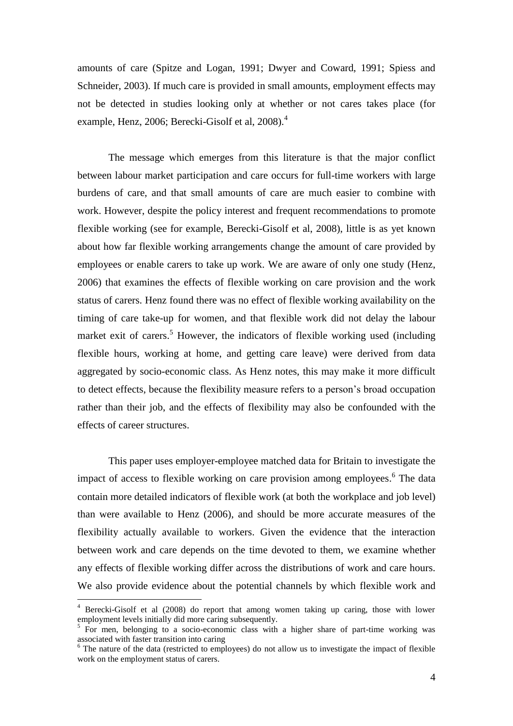amounts of care (Spitze and Logan, 1991; Dwyer and Coward, 1991; Spiess and Schneider, 2003). If much care is provided in small amounts, employment effects may not be detected in studies looking only at whether or not cares takes place (for example, Henz, 2006; Berecki-Gisolf et al, 2008).<sup>4</sup>

The message which emerges from this literature is that the major conflict between labour market participation and care occurs for full-time workers with large burdens of care, and that small amounts of care are much easier to combine with work. However, despite the policy interest and frequent recommendations to promote flexible working (see for example, Berecki-Gisolf et al, 2008), little is as yet known about how far flexible working arrangements change the amount of care provided by employees or enable carers to take up work. We are aware of only one study (Henz, 2006) that examines the effects of flexible working on care provision and the work status of carers. Henz found there was no effect of flexible working availability on the timing of care take-up for women, and that flexible work did not delay the labour market exit of carers.<sup>5</sup> However, the indicators of flexible working used (including flexible hours, working at home, and getting care leave) were derived from data aggregated by socio-economic class. As Henz notes, this may make it more difficult to detect effects, because the flexibility measure refers to a person"s broad occupation rather than their job, and the effects of flexibility may also be confounded with the effects of career structures.

This paper uses employer-employee matched data for Britain to investigate the impact of access to flexible working on care provision among employees.<sup>6</sup> The data contain more detailed indicators of flexible work (at both the workplace and job level) than were available to Henz (2006), and should be more accurate measures of the flexibility actually available to workers. Given the evidence that the interaction between work and care depends on the time devoted to them, we examine whether any effects of flexible working differ across the distributions of work and care hours. We also provide evidence about the potential channels by which flexible work and

 $\overline{a}$ 

<sup>4</sup> Berecki-Gisolf et al (2008) do report that among women taking up caring, those with lower employment levels initially did more caring subsequently.

<sup>&</sup>lt;sup>5</sup> For men, belonging to a socio-economic class with a higher share of part-time working was associated with faster transition into caring

<sup>&</sup>lt;sup>6</sup> The nature of the data (restricted to employees) do not allow us to investigate the impact of flexible work on the employment status of carers.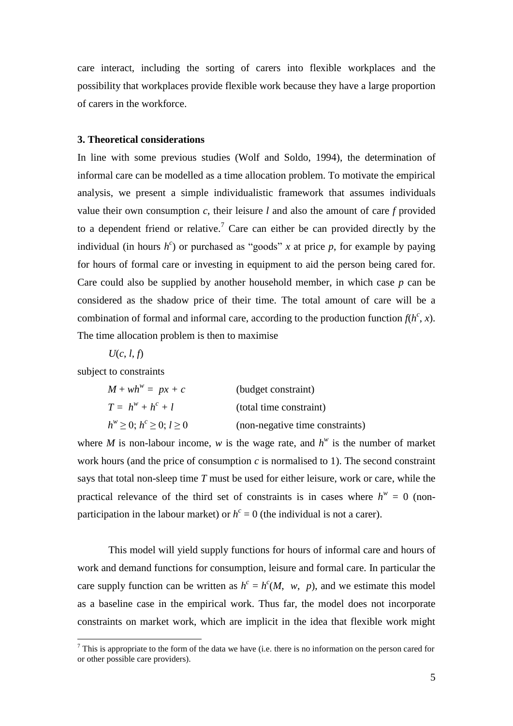care interact, including the sorting of carers into flexible workplaces and the possibility that workplaces provide flexible work because they have a large proportion of carers in the workforce.

# **3. Theoretical considerations**

In line with some previous studies (Wolf and Soldo, 1994), the determination of informal care can be modelled as a time allocation problem. To motivate the empirical analysis, we present a simple individualistic framework that assumes individuals value their own consumption *c*, their leisure *l* and also the amount of care *f* provided to a dependent friend or relative.<sup>7</sup> Care can either be can provided directly by the individual (in hours  $h^c$ ) or purchased as "goods" x at price p, for example by paying for hours of formal care or investing in equipment to aid the person being cared for. Care could also be supplied by another household member, in which case *p* can be considered as the shadow price of their time. The total amount of care will be a combination of formal and informal care, according to the production function  $f(h^c, x)$ . The time allocation problem is then to maximise

*U*(*c*, *l*, *f*)

subject to constraints

 $\overline{a}$ 

| $M + wh^w = px + c$                      | (budget constraint)             |
|------------------------------------------|---------------------------------|
| $T = h^w + h^c + l$                      | (total time constraint)         |
| $h^w \geq 0$ ; $h^c \geq 0$ ; $l \geq 0$ | (non-negative time constraints) |

where *M* is non-labour income, *w* is the wage rate, and  $h^w$  is the number of market work hours (and the price of consumption  $c$  is normalised to 1). The second constraint says that total non-sleep time *T* must be used for either leisure, work or care, while the practical relevance of the third set of constraints is in cases where  $h^w = 0$  (nonparticipation in the labour market) or  $h^c = 0$  (the individual is not a carer).

This model will yield supply functions for hours of informal care and hours of work and demand functions for consumption, leisure and formal care. In particular the care supply function can be written as  $h^c = h^c(M, w, p)$ , and we estimate this model as a baseline case in the empirical work. Thus far, the model does not incorporate constraints on market work, which are implicit in the idea that flexible work might

 $<sup>7</sup>$  This is appropriate to the form of the data we have (i.e. there is no information on the person cared for</sup> or other possible care providers).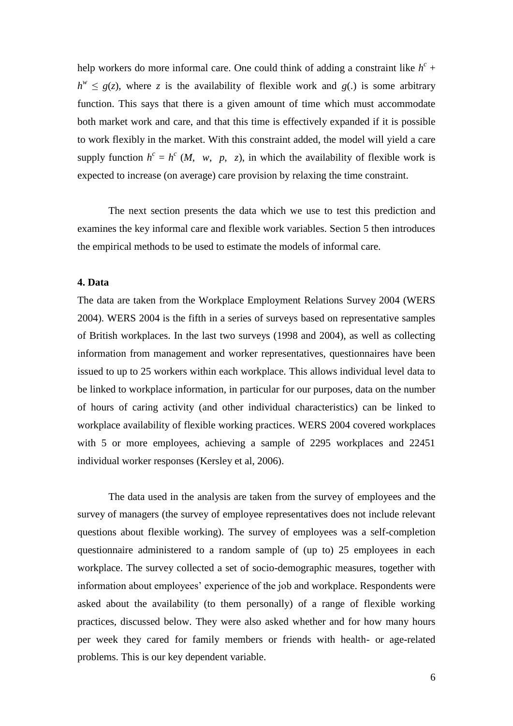help workers do more informal care. One could think of adding a constraint like  $h^c$  +  $h^w \le g(z)$ , where *z* is the availability of flexible work and *g*(.) is some arbitrary function. This says that there is a given amount of time which must accommodate both market work and care, and that this time is effectively expanded if it is possible to work flexibly in the market. With this constraint added, the model will yield a care supply function  $h^c = h^c$  (*M*, *w*, *p*, *z*), in which the availability of flexible work is expected to increase (on average) care provision by relaxing the time constraint.

The next section presents the data which we use to test this prediction and examines the key informal care and flexible work variables. Section 5 then introduces the empirical methods to be used to estimate the models of informal care.

# **4. Data**

The data are taken from the Workplace Employment Relations Survey 2004 (WERS 2004). WERS 2004 is the fifth in a series of surveys based on representative samples of British workplaces. In the last two surveys (1998 and 2004), as well as collecting information from management and worker representatives, questionnaires have been issued to up to 25 workers within each workplace. This allows individual level data to be linked to workplace information, in particular for our purposes, data on the number of hours of caring activity (and other individual characteristics) can be linked to workplace availability of flexible working practices. WERS 2004 covered workplaces with 5 or more employees, achieving a sample of 2295 workplaces and 22451 individual worker responses (Kersley et al, 2006).

The data used in the analysis are taken from the survey of employees and the survey of managers (the survey of employee representatives does not include relevant questions about flexible working). The survey of employees was a self-completion questionnaire administered to a random sample of (up to) 25 employees in each workplace. The survey collected a set of socio-demographic measures, together with information about employees" experience of the job and workplace. Respondents were asked about the availability (to them personally) of a range of flexible working practices, discussed below. They were also asked whether and for how many hours per week they cared for family members or friends with health- or age-related problems. This is our key dependent variable.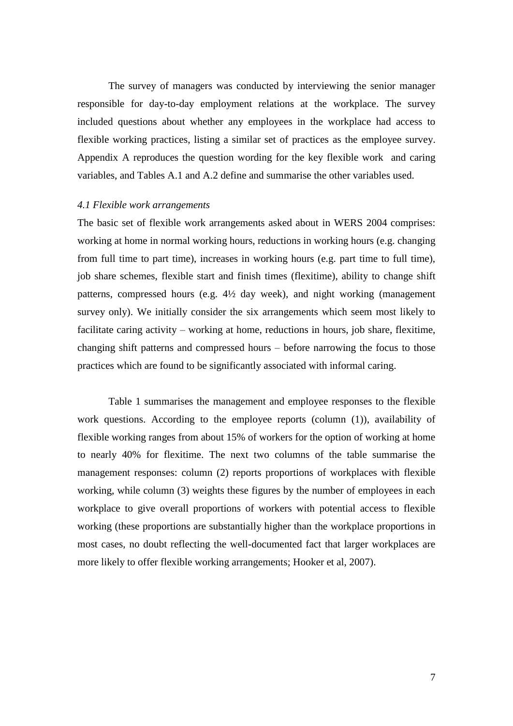The survey of managers was conducted by interviewing the senior manager responsible for day-to-day employment relations at the workplace. The survey included questions about whether any employees in the workplace had access to flexible working practices, listing a similar set of practices as the employee survey. Appendix A reproduces the question wording for the key flexible work and caring variables, and Tables A.1 and A.2 define and summarise the other variables used.

#### *4.1 Flexible work arrangements*

The basic set of flexible work arrangements asked about in WERS 2004 comprises: working at home in normal working hours, reductions in working hours (e.g. changing from full time to part time), increases in working hours (e.g. part time to full time), job share schemes, flexible start and finish times (flexitime), ability to change shift patterns, compressed hours (e.g. 4½ day week), and night working (management survey only). We initially consider the six arrangements which seem most likely to facilitate caring activity – working at home, reductions in hours, job share, flexitime, changing shift patterns and compressed hours – before narrowing the focus to those practices which are found to be significantly associated with informal caring.

Table 1 summarises the management and employee responses to the flexible work questions. According to the employee reports (column (1)), availability of flexible working ranges from about 15% of workers for the option of working at home to nearly 40% for flexitime. The next two columns of the table summarise the management responses: column (2) reports proportions of workplaces with flexible working, while column (3) weights these figures by the number of employees in each workplace to give overall proportions of workers with potential access to flexible working (these proportions are substantially higher than the workplace proportions in most cases, no doubt reflecting the well-documented fact that larger workplaces are more likely to offer flexible working arrangements; Hooker et al, 2007).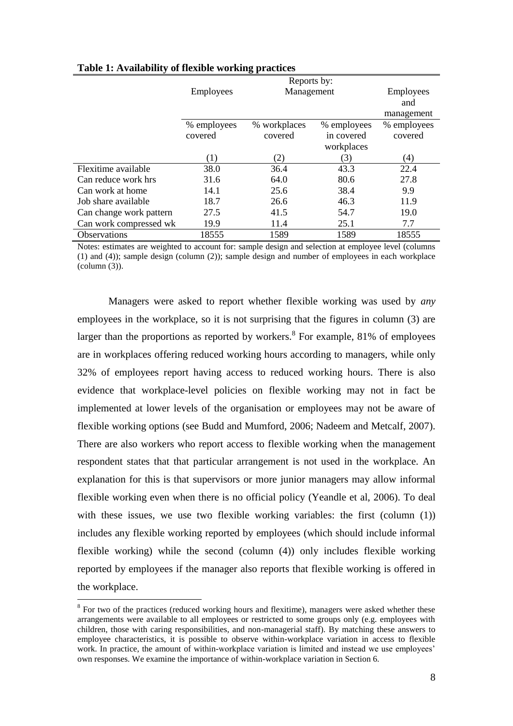|                         | Reports by:      |              |             |                   |  |  |
|-------------------------|------------------|--------------|-------------|-------------------|--|--|
|                         | Employees        | Management   |             | Employees         |  |  |
|                         |                  |              |             | and               |  |  |
|                         |                  |              |             | management        |  |  |
|                         | % employees      | % workplaces | % employees | % employees       |  |  |
|                         | covered          | covered      | in covered  | covered           |  |  |
|                         |                  |              | workplaces  |                   |  |  |
|                         | $\left(1\right)$ | (2)          | 3)          | $\left( 4\right)$ |  |  |
| Flexitime available     | 38.0             | 36.4         | 43.3        | 22.4              |  |  |
| Can reduce work hrs     | 31.6             | 64.0         | 80.6        | 27.8              |  |  |
| Can work at home        | 14.1             | 25.6         | 38.4        | 9.9               |  |  |
| Job share available     | 18.7             | 26.6         | 46.3        | 11.9              |  |  |
| Can change work pattern | 27.5             | 41.5         | 54.7        | 19.0              |  |  |
| Can work compressed wk  | 19.9             | 11.4         | 25.1        | 7.7               |  |  |
| <b>Observations</b>     | 18555            | 1589         | 1589        | 18555             |  |  |

## **Table 1: Availability of flexible working practices**

Notes: estimates are weighted to account for: sample design and selection at employee level (columns (1) and (4)); sample design (column (2)); sample design and number of employees in each workplace (column (3)).

Managers were asked to report whether flexible working was used by *any*  employees in the workplace, so it is not surprising that the figures in column (3) are larger than the proportions as reported by workers.  $8$  For example, 81% of employees are in workplaces offering reduced working hours according to managers, while only 32% of employees report having access to reduced working hours. There is also evidence that workplace-level policies on flexible working may not in fact be implemented at lower levels of the organisation or employees may not be aware of flexible working options (see Budd and Mumford, 2006; Nadeem and Metcalf, 2007). There are also workers who report access to flexible working when the management respondent states that that particular arrangement is not used in the workplace. An explanation for this is that supervisors or more junior managers may allow informal flexible working even when there is no official policy (Yeandle et al, 2006). To deal with these issues, we use two flexible working variables: the first (column (1)) includes any flexible working reported by employees (which should include informal flexible working) while the second (column (4)) only includes flexible working reported by employees if the manager also reports that flexible working is offered in the workplace.

 $\overline{a}$ 

 $8$  For two of the practices (reduced working hours and flexitime), managers were asked whether these arrangements were available to all employees or restricted to some groups only (e.g. employees with children, those with caring responsibilities, and non-managerial staff). By matching these answers to employee characteristics, it is possible to observe within-workplace variation in access to flexible work. In practice, the amount of within-workplace variation is limited and instead we use employees' own responses. We examine the importance of within-workplace variation in Section 6.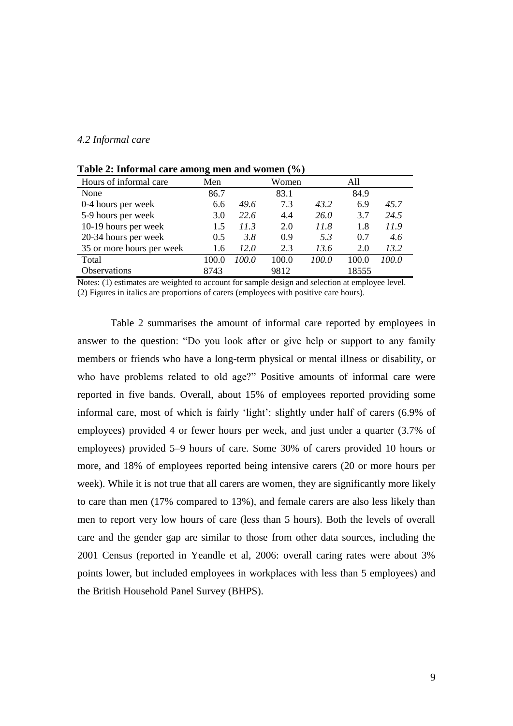### *4.2 Informal care*

| Hours of informal care    | Men   |       | Women |       | A11   |       |
|---------------------------|-------|-------|-------|-------|-------|-------|
| None                      | 86.7  |       | 83.1  |       | 84.9  |       |
| 0-4 hours per week        | 6.6   | 49.6  | 7.3   | 43.2  | 6.9   | 45.7  |
| 5-9 hours per week        | 3.0   | 22.6  | 4.4   | 26.0  | 3.7   | 24.5  |
| 10-19 hours per week      | 1.5   | 11.3  | 2.0   | 11.8  | 1.8   | 11.9  |
| 20-34 hours per week      | 0.5   | 3.8   | 0.9   | 5.3   | 0.7   | 4.6   |
| 35 or more hours per week | 1.6   | 12.0  | 2.3   | 13.6  | 2.0   | 13.2  |
| Total                     | 100.0 | 100.0 | 100.0 | 100.0 | 100.0 | 100.0 |
| <b>Observations</b>       | 8743  |       | 9812  |       | 18555 |       |

**Table 2: Informal care among men and women (%)**

Notes: (1) estimates are weighted to account for sample design and selection at employee level. (2) Figures in italics are proportions of carers (employees with positive care hours).

Table 2 summarises the amount of informal care reported by employees in answer to the question: "Do you look after or give help or support to any family members or friends who have a long-term physical or mental illness or disability, or who have problems related to old age?" Positive amounts of informal care were reported in five bands. Overall, about 15% of employees reported providing some informal care, most of which is fairly "light": slightly under half of carers (6.9% of employees) provided 4 or fewer hours per week, and just under a quarter (3.7% of employees) provided 5–9 hours of care. Some 30% of carers provided 10 hours or more, and 18% of employees reported being intensive carers (20 or more hours per week). While it is not true that all carers are women, they are significantly more likely to care than men (17% compared to 13%), and female carers are also less likely than men to report very low hours of care (less than 5 hours). Both the levels of overall care and the gender gap are similar to those from other data sources, including the 2001 Census (reported in Yeandle et al, 2006: overall caring rates were about 3% points lower, but included employees in workplaces with less than 5 employees) and the British Household Panel Survey (BHPS).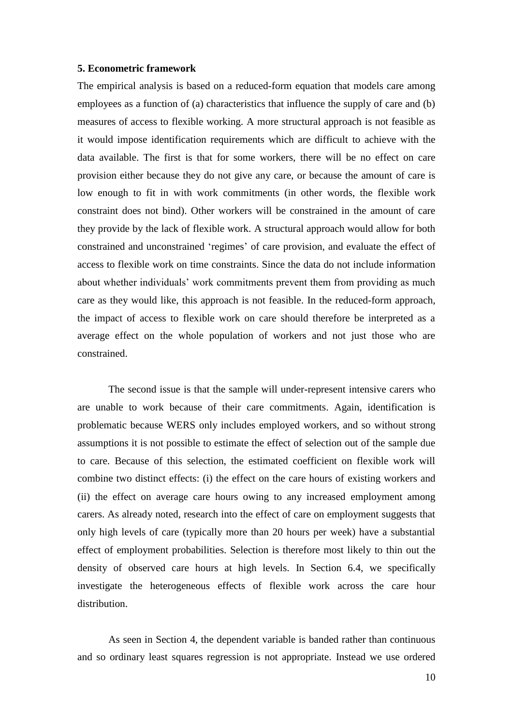#### **5. Econometric framework**

The empirical analysis is based on a reduced-form equation that models care among employees as a function of (a) characteristics that influence the supply of care and (b) measures of access to flexible working. A more structural approach is not feasible as it would impose identification requirements which are difficult to achieve with the data available. The first is that for some workers, there will be no effect on care provision either because they do not give any care, or because the amount of care is low enough to fit in with work commitments (in other words, the flexible work constraint does not bind). Other workers will be constrained in the amount of care they provide by the lack of flexible work. A structural approach would allow for both constrained and unconstrained "regimes" of care provision, and evaluate the effect of access to flexible work on time constraints. Since the data do not include information about whether individuals" work commitments prevent them from providing as much care as they would like, this approach is not feasible. In the reduced-form approach, the impact of access to flexible work on care should therefore be interpreted as a average effect on the whole population of workers and not just those who are constrained.

The second issue is that the sample will under-represent intensive carers who are unable to work because of their care commitments. Again, identification is problematic because WERS only includes employed workers, and so without strong assumptions it is not possible to estimate the effect of selection out of the sample due to care. Because of this selection, the estimated coefficient on flexible work will combine two distinct effects: (i) the effect on the care hours of existing workers and (ii) the effect on average care hours owing to any increased employment among carers. As already noted, research into the effect of care on employment suggests that only high levels of care (typically more than 20 hours per week) have a substantial effect of employment probabilities. Selection is therefore most likely to thin out the density of observed care hours at high levels. In Section 6.4, we specifically investigate the heterogeneous effects of flexible work across the care hour distribution.

As seen in Section 4, the dependent variable is banded rather than continuous and so ordinary least squares regression is not appropriate. Instead we use ordered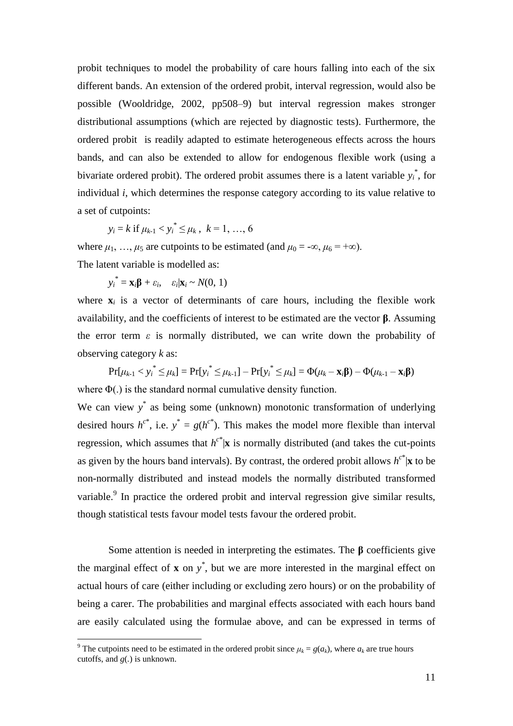probit techniques to model the probability of care hours falling into each of the six different bands. An extension of the ordered probit, interval regression, would also be possible (Wooldridge, 2002, pp508–9) but interval regression makes stronger distributional assumptions (which are rejected by diagnostic tests). Furthermore, the ordered probit is readily adapted to estimate heterogeneous effects across the hours bands, and can also be extended to allow for endogenous flexible work (using a bivariate ordered probit). The ordered probit assumes there is a latent variable *y<sup>i</sup>* \* , for individual *i*, which determines the response category according to its value relative to a set of cutpoints:

$$
y_i = k
$$
 if  $\mu_{k-1} < y_i^* \le \mu_k$ ,  $k = 1, ..., 6$ 

where  $\mu_1, \ldots, \mu_5$  are cutpoints to be estimated (and  $\mu_0 = -\infty, \mu_6 = +\infty$ ). The latent variable is modelled as:

$$
y_i^* = \mathbf{x}_i \mathbf{\beta} + \varepsilon_i, \quad \varepsilon_i | \mathbf{x}_i \sim N(0, 1)
$$

 $\overline{a}$ 

where  $\mathbf{x}_i$  is a vector of determinants of care hours, including the flexible work availability, and the coefficients of interest to be estimated are the vector **β**. Assuming the error term  $\varepsilon$  is normally distributed, we can write down the probability of observing category *k* as:

 $Pr[\mu_{k-1} < y_i^* \leq \mu_k] = Pr[y_i^* \leq \mu_{k-1}] - Pr[y_i^* \leq \mu_k] = \Phi(\mu_k - \mathbf{x}_i \boldsymbol{\beta}) - \Phi(\mu_{k-1} - \mathbf{x}_i \boldsymbol{\beta})$ where Φ(.) is the standard normal cumulative density function.

We can view  $y^*$  as being some (unknown) monotonic transformation of underlying desired hours  $h^{c^*}$ , i.e.  $y^* = g(h^{c^*})$ . This makes the model more flexible than interval regression, which assumes that  $h^{c^*}$  **x** is normally distributed (and takes the cut-points as given by the hours band intervals). By contrast, the ordered probit allows  $h^{c^*}$  **x** to be non-normally distributed and instead models the normally distributed transformed variable. $9$  In practice the ordered probit and interval regression give similar results, though statistical tests favour model tests favour the ordered probit.

Some attention is needed in interpreting the estimates. The **β** coefficients give the marginal effect of  $\bf{x}$  on  $y^*$ , but we are more interested in the marginal effect on actual hours of care (either including or excluding zero hours) or on the probability of being a carer. The probabilities and marginal effects associated with each hours band are easily calculated using the formulae above, and can be expressed in terms of

<sup>&</sup>lt;sup>9</sup> The cutpoints need to be estimated in the ordered probit since  $\mu_k = g(a_k)$ , where  $a_k$  are true hours cutoffs, and *g*(*.*) is unknown.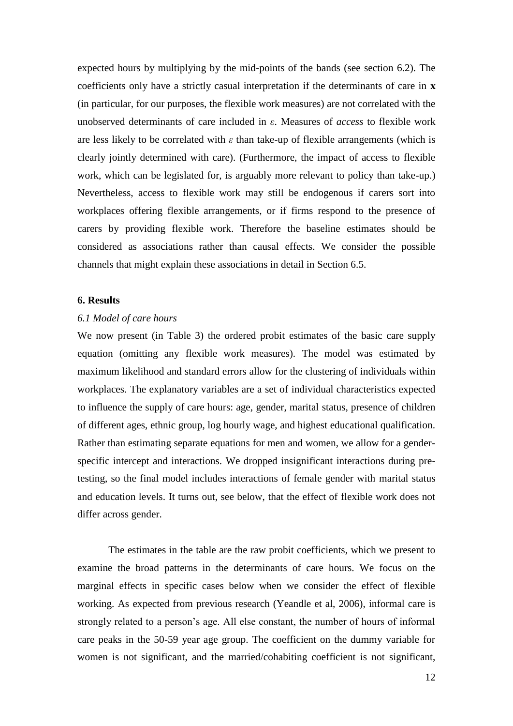expected hours by multiplying by the mid-points of the bands (see section 6.2). The coefficients only have a strictly casual interpretation if the determinants of care in **x** (in particular, for our purposes, the flexible work measures) are not correlated with the unobserved determinants of care included in *ε*. Measures of *access* to flexible work are less likely to be correlated with  $\varepsilon$  than take-up of flexible arrangements (which is clearly jointly determined with care). (Furthermore, the impact of access to flexible work, which can be legislated for, is arguably more relevant to policy than take-up.) Nevertheless, access to flexible work may still be endogenous if carers sort into workplaces offering flexible arrangements, or if firms respond to the presence of carers by providing flexible work. Therefore the baseline estimates should be considered as associations rather than causal effects. We consider the possible channels that might explain these associations in detail in Section 6.5.

# **6. Results**

## *6.1 Model of care hours*

We now present (in Table 3) the ordered probit estimates of the basic care supply equation (omitting any flexible work measures). The model was estimated by maximum likelihood and standard errors allow for the clustering of individuals within workplaces. The explanatory variables are a set of individual characteristics expected to influence the supply of care hours: age, gender, marital status, presence of children of different ages, ethnic group, log hourly wage, and highest educational qualification. Rather than estimating separate equations for men and women, we allow for a genderspecific intercept and interactions. We dropped insignificant interactions during pretesting, so the final model includes interactions of female gender with marital status and education levels. It turns out, see below, that the effect of flexible work does not differ across gender.

The estimates in the table are the raw probit coefficients, which we present to examine the broad patterns in the determinants of care hours. We focus on the marginal effects in specific cases below when we consider the effect of flexible working. As expected from previous research (Yeandle et al, 2006), informal care is strongly related to a person"s age. All else constant, the number of hours of informal care peaks in the 50-59 year age group. The coefficient on the dummy variable for women is not significant, and the married/cohabiting coefficient is not significant,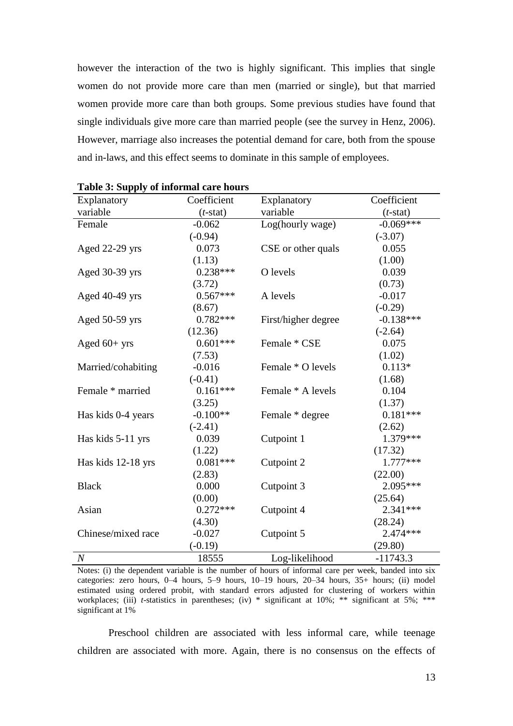however the interaction of the two is highly significant. This implies that single women do not provide more care than men (married or single), but that married women provide more care than both groups. Some previous studies have found that single individuals give more care than married people (see the survey in Henz, 2006). However, marriage also increases the potential demand for care, both from the spouse and in-laws, and this effect seems to dominate in this sample of employees.

| Explanatory        | Coefficient | Explanatory         | Coefficient |
|--------------------|-------------|---------------------|-------------|
| variable           | $(t$ -stat) | variable            | $(t$ -stat) |
| Female             | $-0.062$    | Log(hourly wage)    | $-0.069***$ |
|                    | $(-0.94)$   |                     | $(-3.07)$   |
| Aged 22-29 yrs     | 0.073       | CSE or other quals  | 0.055       |
|                    | (1.13)      |                     | (1.00)      |
| Aged 30-39 yrs     | $0.238***$  | O levels            | 0.039       |
|                    | (3.72)      |                     | (0.73)      |
| Aged 40-49 yrs     | $0.567***$  | A levels            | $-0.017$    |
|                    | (8.67)      |                     | $(-0.29)$   |
| Aged 50-59 yrs     | $0.782***$  | First/higher degree | $-0.138***$ |
|                    | (12.36)     |                     | $(-2.64)$   |
| Aged $60+$ yrs     | $0.601***$  | Female * CSE        | 0.075       |
|                    | (7.53)      |                     | (1.02)      |
| Married/cohabiting | $-0.016$    | Female * O levels   | $0.113*$    |
|                    | $(-0.41)$   |                     | (1.68)      |
| Female * married   | $0.161***$  | Female * A levels   | 0.104       |
|                    | (3.25)      |                     | (1.37)      |
| Has kids 0-4 years | $-0.100**$  | Female * degree     | $0.181***$  |
|                    | $(-2.41)$   |                     | (2.62)      |
| Has kids 5-11 yrs  | 0.039       | Cutpoint 1          | 1.379 ***   |
|                    | (1.22)      |                     | (17.32)     |
| Has kids 12-18 yrs | $0.081***$  | Cutpoint 2          | $1.777***$  |
|                    | (2.83)      |                     | (22.00)     |
| <b>Black</b>       | 0.000       | Cutpoint 3          | 2.095***    |
|                    | (0.00)      |                     | (25.64)     |
| Asian              | $0.272***$  | Cutpoint 4          | $2.341***$  |
|                    | (4.30)      |                     | (28.24)     |
| Chinese/mixed race | $-0.027$    | Cutpoint 5          | $2.474***$  |
|                    | $(-0.19)$   |                     | (29.80)     |
| $\,N$              | 18555       | Log-likelihood      | $-11743.3$  |

**Table 3: Supply of informal care hours**

Notes: (i) the dependent variable is the number of hours of informal care per week, banded into six categories: zero hours, 0–4 hours, 5–9 hours, 10–19 hours, 20–34 hours, 35+ hours; (ii) model estimated using ordered probit, with standard errors adjusted for clustering of workers within workplaces; (iii) *t*-statistics in parentheses; (iv) \* significant at 10%; \*\* significant at 5%; \*\*\* significant at 1%

Preschool children are associated with less informal care, while teenage children are associated with more. Again, there is no consensus on the effects of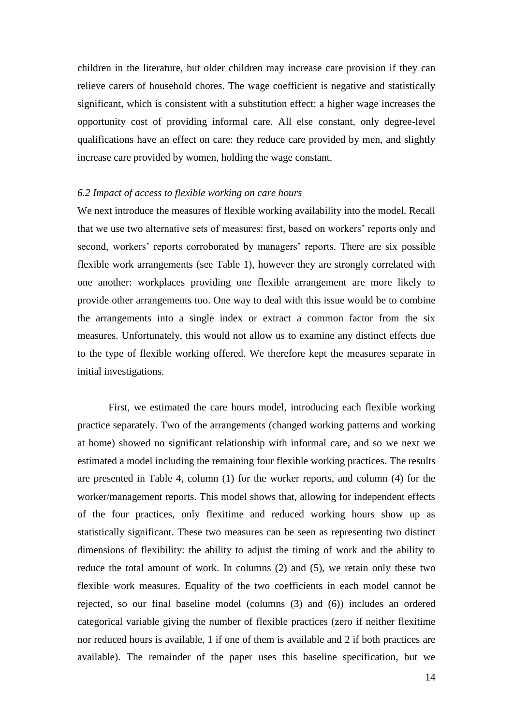children in the literature, but older children may increase care provision if they can relieve carers of household chores. The wage coefficient is negative and statistically significant, which is consistent with a substitution effect: a higher wage increases the opportunity cost of providing informal care. All else constant, only degree-level qualifications have an effect on care: they reduce care provided by men, and slightly increase care provided by women, holding the wage constant.

#### *6.2 Impact of access to flexible working on care hours*

We next introduce the measures of flexible working availability into the model. Recall that we use two alternative sets of measures: first, based on workers' reports only and second, workers' reports corroborated by managers' reports. There are six possible flexible work arrangements (see Table 1), however they are strongly correlated with one another: workplaces providing one flexible arrangement are more likely to provide other arrangements too. One way to deal with this issue would be to combine the arrangements into a single index or extract a common factor from the six measures. Unfortunately, this would not allow us to examine any distinct effects due to the type of flexible working offered. We therefore kept the measures separate in initial investigations.

First, we estimated the care hours model, introducing each flexible working practice separately. Two of the arrangements (changed working patterns and working at home) showed no significant relationship with informal care, and so we next we estimated a model including the remaining four flexible working practices. The results are presented in Table 4, column (1) for the worker reports, and column (4) for the worker/management reports. This model shows that, allowing for independent effects of the four practices, only flexitime and reduced working hours show up as statistically significant. These two measures can be seen as representing two distinct dimensions of flexibility: the ability to adjust the timing of work and the ability to reduce the total amount of work. In columns (2) and (5), we retain only these two flexible work measures. Equality of the two coefficients in each model cannot be rejected, so our final baseline model (columns (3) and (6)) includes an ordered categorical variable giving the number of flexible practices (zero if neither flexitime nor reduced hours is available, 1 if one of them is available and 2 if both practices are available). The remainder of the paper uses this baseline specification, but we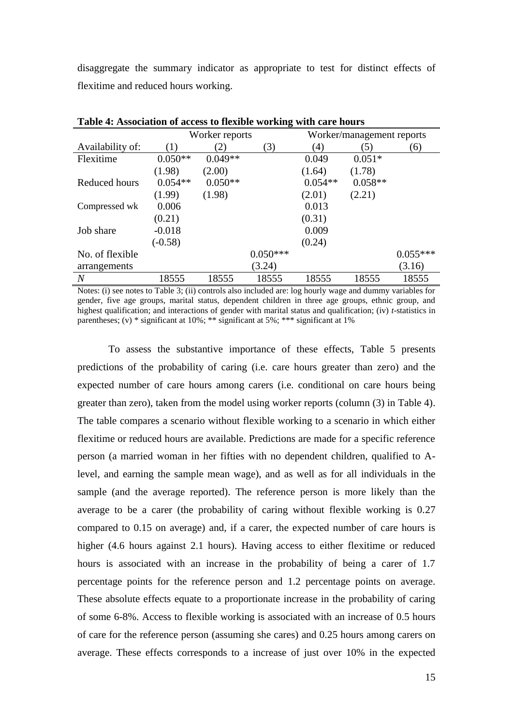disaggregate the summary indicator as appropriate to test for distinct effects of flexitime and reduced hours working.

|                  | $\frac{1}{2}$ |                |            | $\cdots$  |                           |            |
|------------------|---------------|----------------|------------|-----------|---------------------------|------------|
|                  |               | Worker reports |            |           | Worker/management reports |            |
| Availability of: | (1)           | (2)            | (3)        | (4)       | (5)                       | (6)        |
| Flexitime        | $0.050**$     | $0.049**$      |            | 0.049     | $0.051*$                  |            |
|                  | (1.98)        | (2.00)         |            | (1.64)    | (1.78)                    |            |
| Reduced hours    | $0.054**$     | $0.050**$      |            | $0.054**$ | $0.058**$                 |            |
|                  | (1.99)        | (1.98)         |            | (2.01)    | (2.21)                    |            |
| Compressed wk    | 0.006         |                |            | 0.013     |                           |            |
|                  | (0.21)        |                |            | (0.31)    |                           |            |
| Job share        | $-0.018$      |                |            | 0.009     |                           |            |
|                  | $(-0.58)$     |                |            | (0.24)    |                           |            |
| No. of flexible  |               |                | $0.050***$ |           |                           | $0.055***$ |
| arrangements     |               |                | (3.24)     |           |                           | (3.16)     |
| $\overline{N}$   | 18555         | 18555          | 18555      | 18555     | 18555                     | 18555      |

**Table 4: Association of access to flexible working with care hours**

Notes: (i) see notes to Table 3; (ii) controls also included are: log hourly wage and dummy variables for gender, five age groups, marital status, dependent children in three age groups, ethnic group, and highest qualification; and interactions of gender with marital status and qualification; (iv) *t*-statistics in parentheses; (v) \* significant at 10%; \*\* significant at 5%; \*\*\* significant at 1%

To assess the substantive importance of these effects, Table 5 presents predictions of the probability of caring (i.e. care hours greater than zero) and the expected number of care hours among carers (i.e. conditional on care hours being greater than zero), taken from the model using worker reports (column (3) in Table 4). The table compares a scenario without flexible working to a scenario in which either flexitime or reduced hours are available. Predictions are made for a specific reference person (a married woman in her fifties with no dependent children, qualified to Alevel, and earning the sample mean wage), and as well as for all individuals in the sample (and the average reported). The reference person is more likely than the average to be a carer (the probability of caring without flexible working is 0.27 compared to 0.15 on average) and, if a carer, the expected number of care hours is higher (4.6 hours against 2.1 hours). Having access to either flexitime or reduced hours is associated with an increase in the probability of being a carer of 1.7 percentage points for the reference person and 1.2 percentage points on average. These absolute effects equate to a proportionate increase in the probability of caring of some 6-8%. Access to flexible working is associated with an increase of 0.5 hours of care for the reference person (assuming she cares) and 0.25 hours among carers on average. These effects corresponds to a increase of just over 10% in the expected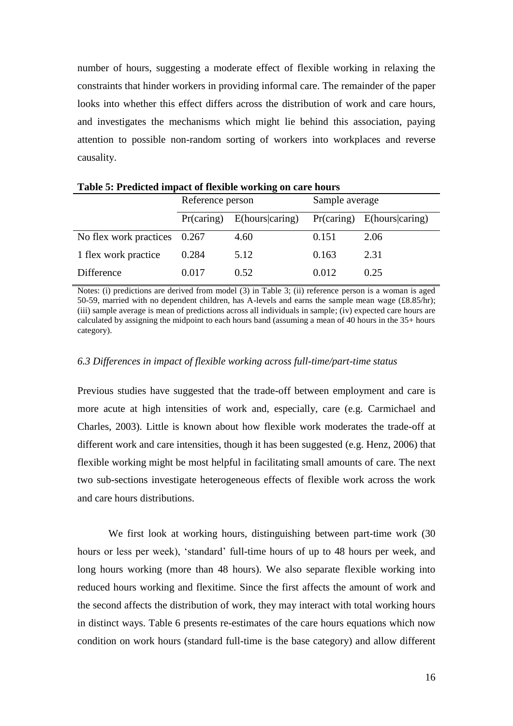number of hours, suggesting a moderate effect of flexible working in relaxing the constraints that hinder workers in providing informal care. The remainder of the paper looks into whether this effect differs across the distribution of work and care hours, and investigates the mechanisms which might lie behind this association, paying attention to possible non-random sorting of workers into workplaces and reverse causality.

| Tuble of Treatered impues of hemole working on eare hours |                  |                 |                |                            |  |
|-----------------------------------------------------------|------------------|-----------------|----------------|----------------------------|--|
|                                                           | Reference person |                 | Sample average |                            |  |
|                                                           | Pr(caring)       | E(hours caring) |                | Pr(caring) E(hours caring) |  |
| No flex work practices 0.267                              |                  | 4.60            | 0.151          | 2.06                       |  |
| 1 flex work practice                                      | 0.284            | 5.12            | 0.163          | 2.31                       |  |
| Difference                                                | 0.017            | 0.52            | 0.012          | 0.25                       |  |

**Table 5: Predicted impact of flexible working on care hours**

Notes: (i) predictions are derived from model (3) in Table 3; (ii) reference person is a woman is aged 50-59, married with no dependent children, has A-levels and earns the sample mean wage (£8.85/hr); (iii) sample average is mean of predictions across all individuals in sample; (iv) expected care hours are calculated by assigning the midpoint to each hours band (assuming a mean of 40 hours in the 35+ hours category).

#### *6.3 Differences in impact of flexible working across full-time/part-time status*

Previous studies have suggested that the trade-off between employment and care is more acute at high intensities of work and, especially, care (e.g. Carmichael and Charles, 2003). Little is known about how flexible work moderates the trade-off at different work and care intensities, though it has been suggested (e.g. Henz, 2006) that flexible working might be most helpful in facilitating small amounts of care. The next two sub-sections investigate heterogeneous effects of flexible work across the work and care hours distributions.

We first look at working hours, distinguishing between part-time work (30 hours or less per week), "standard" full-time hours of up to 48 hours per week, and long hours working (more than 48 hours). We also separate flexible working into reduced hours working and flexitime. Since the first affects the amount of work and the second affects the distribution of work, they may interact with total working hours in distinct ways. Table 6 presents re-estimates of the care hours equations which now condition on work hours (standard full-time is the base category) and allow different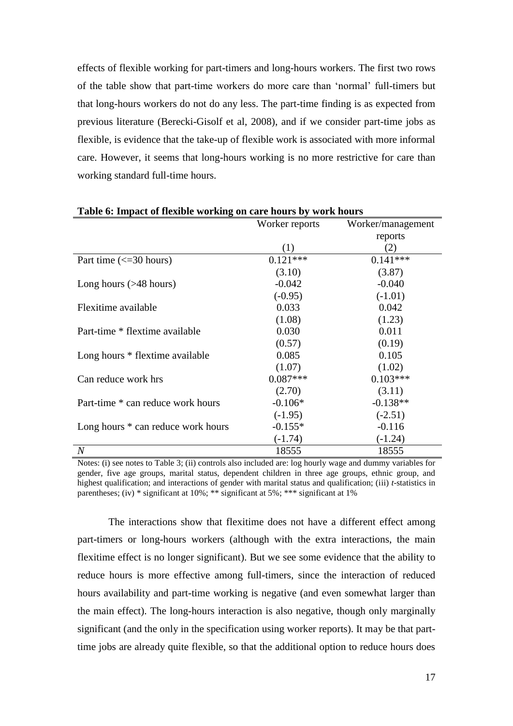effects of flexible working for part-timers and long-hours workers. The first two rows of the table show that part-time workers do more care than "normal" full-timers but that long-hours workers do not do any less. The part-time finding is as expected from previous literature (Berecki-Gisolf et al, 2008), and if we consider part-time jobs as flexible, is evidence that the take-up of flexible work is associated with more informal care. However, it seems that long-hours working is no more restrictive for care than working standard full-time hours.

|                                                | Worker reports | Worker/management |
|------------------------------------------------|----------------|-------------------|
|                                                |                | reports           |
|                                                | (1)            | (2)               |
| Part time $\left(\leq 30 \text{ hours}\right)$ | $0.121***$     | $0.141***$        |
|                                                | (3.10)         | (3.87)            |
| Long hours $($ >48 hours)                      | $-0.042$       | $-0.040$          |
|                                                | $(-0.95)$      | $(-1.01)$         |
| Flexitime available                            | 0.033          | 0.042             |
|                                                | (1.08)         | (1.23)            |
| Part-time * flextime available                 | 0.030          | 0.011             |
|                                                | (0.57)         | (0.19)            |
| Long hours * flextime available                | 0.085          | 0.105             |
|                                                | (1.07)         | (1.02)            |
| Can reduce work hrs                            | $0.087***$     | $0.103***$        |
|                                                | (2.70)         | (3.11)            |
| Part-time * can reduce work hours              | $-0.106*$      | $-0.138**$        |
|                                                | $(-1.95)$      | $(-2.51)$         |
| Long hours * can reduce work hours             | $-0.155*$      | $-0.116$          |
|                                                | $(-1.74)$      | $(-1.24)$         |
| $\overline{N}$                                 | 18555          | 18555             |

#### **Table 6: Impact of flexible working on care hours by work hours**

Notes: (i) see notes to Table 3; (ii) controls also included are: log hourly wage and dummy variables for gender, five age groups, marital status, dependent children in three age groups, ethnic group, and highest qualification; and interactions of gender with marital status and qualification; (iii) *t*-statistics in parentheses; (iv) \* significant at 10%; \*\* significant at 5%; \*\*\* significant at 1%

The interactions show that flexitime does not have a different effect among part-timers or long-hours workers (although with the extra interactions, the main flexitime effect is no longer significant). But we see some evidence that the ability to reduce hours is more effective among full-timers, since the interaction of reduced hours availability and part-time working is negative (and even somewhat larger than the main effect). The long-hours interaction is also negative, though only marginally significant (and the only in the specification using worker reports). It may be that parttime jobs are already quite flexible, so that the additional option to reduce hours does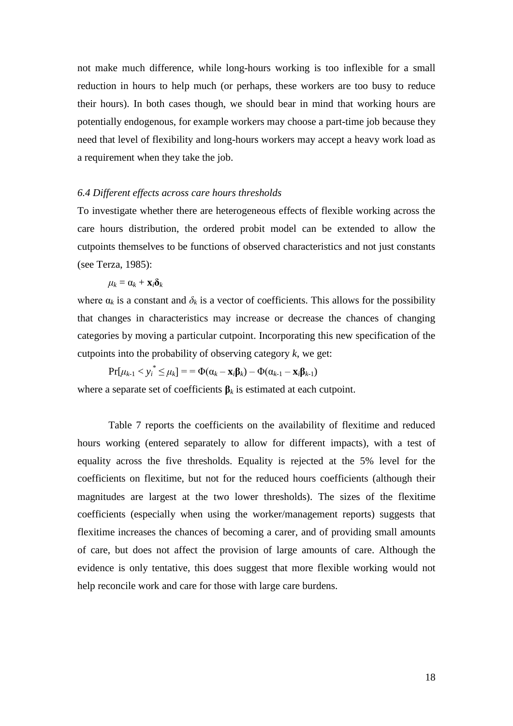not make much difference, while long-hours working is too inflexible for a small reduction in hours to help much (or perhaps, these workers are too busy to reduce their hours). In both cases though, we should bear in mind that working hours are potentially endogenous, for example workers may choose a part-time job because they need that level of flexibility and long-hours workers may accept a heavy work load as a requirement when they take the job.

## *6.4 Different effects across care hours thresholds*

To investigate whether there are heterogeneous effects of flexible working across the care hours distribution, the ordered probit model can be extended to allow the cutpoints themselves to be functions of observed characteristics and not just constants (see Terza, 1985):

$$
\mu_k = \alpha_k + \mathbf{x}_i \delta_k
$$

where  $\alpha_k$  is a constant and  $\delta_k$  is a vector of coefficients. This allows for the possibility that changes in characteristics may increase or decrease the chances of changing categories by moving a particular cutpoint. Incorporating this new specification of the cutpoints into the probability of observing category *k*, we get:

 $\Pr[\mu_{k-1} < y_i^* \leq \mu_k] = \Phi(\alpha_k - \mathbf{x}_i \beta_k) - \Phi(\alpha_{k-1} - \mathbf{x}_i \beta_{k-1})$ 

where a separate set of coefficients  $\beta_k$  is estimated at each cutpoint.

Table 7 reports the coefficients on the availability of flexitime and reduced hours working (entered separately to allow for different impacts), with a test of equality across the five thresholds. Equality is rejected at the 5% level for the coefficients on flexitime, but not for the reduced hours coefficients (although their magnitudes are largest at the two lower thresholds). The sizes of the flexitime coefficients (especially when using the worker/management reports) suggests that flexitime increases the chances of becoming a carer, and of providing small amounts of care, but does not affect the provision of large amounts of care. Although the evidence is only tentative, this does suggest that more flexible working would not help reconcile work and care for those with large care burdens.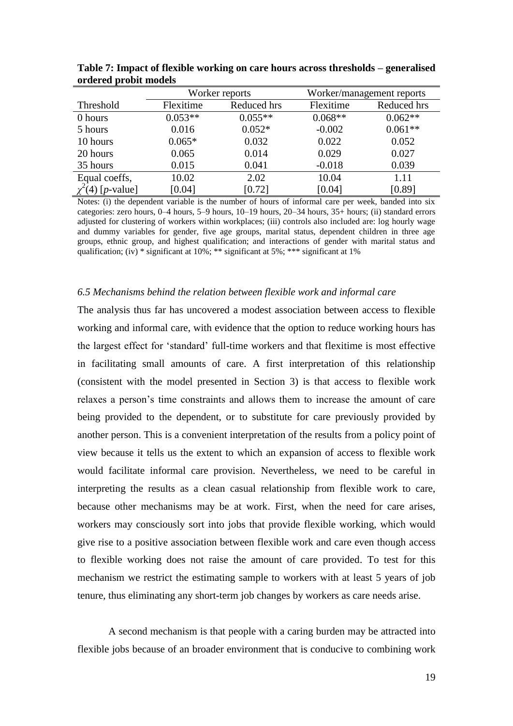|                       | Worker reports |             |           | Worker/management reports |
|-----------------------|----------------|-------------|-----------|---------------------------|
| Threshold             | Flexitime      | Reduced hrs |           | Reduced hrs               |
| 0 hours               | $0.053**$      | $0.055**$   | $0.068**$ | $0.062**$                 |
| 5 hours               | 0.016          | $0.052*$    | $-0.002$  | $0.061**$                 |
| 10 hours              | $0.065*$       | 0.032       | 0.022     | 0.052                     |
| 20 hours              | 0.065          | 0.014       | 0.029     | 0.027                     |
| 35 hours              | 0.015          | 0.041       | $-0.018$  | 0.039                     |
| Equal coeffs,         | 10.02          | 2.02        | 10.04     | 1.11                      |
| $\chi^2(4)$ [p-value] | [0.04]         | [0.72]      | [0.04]    | [0.89]                    |

**Table 7: Impact of flexible working on care hours across thresholds – generalised ordered probit models**

Notes: (i) the dependent variable is the number of hours of informal care per week, banded into six categories: zero hours, 0–4 hours, 5–9 hours, 10–19 hours, 20–34 hours, 35+ hours; (ii) standard errors adjusted for clustering of workers within workplaces; (iii) controls also included are: log hourly wage and dummy variables for gender, five age groups, marital status, dependent children in three age groups, ethnic group, and highest qualification; and interactions of gender with marital status and qualification; (iv)  $*$  significant at 10%;  $**$  significant at 5%;  $***$  significant at 1%

#### *6.5 Mechanisms behind the relation between flexible work and informal care*

The analysis thus far has uncovered a modest association between access to flexible working and informal care, with evidence that the option to reduce working hours has the largest effect for "standard" full-time workers and that flexitime is most effective in facilitating small amounts of care. A first interpretation of this relationship (consistent with the model presented in Section 3) is that access to flexible work relaxes a person"s time constraints and allows them to increase the amount of care being provided to the dependent, or to substitute for care previously provided by another person. This is a convenient interpretation of the results from a policy point of view because it tells us the extent to which an expansion of access to flexible work would facilitate informal care provision. Nevertheless, we need to be careful in interpreting the results as a clean casual relationship from flexible work to care, because other mechanisms may be at work. First, when the need for care arises, workers may consciously sort into jobs that provide flexible working, which would give rise to a positive association between flexible work and care even though access to flexible working does not raise the amount of care provided. To test for this mechanism we restrict the estimating sample to workers with at least 5 years of job tenure, thus eliminating any short-term job changes by workers as care needs arise.

A second mechanism is that people with a caring burden may be attracted into flexible jobs because of an broader environment that is conducive to combining work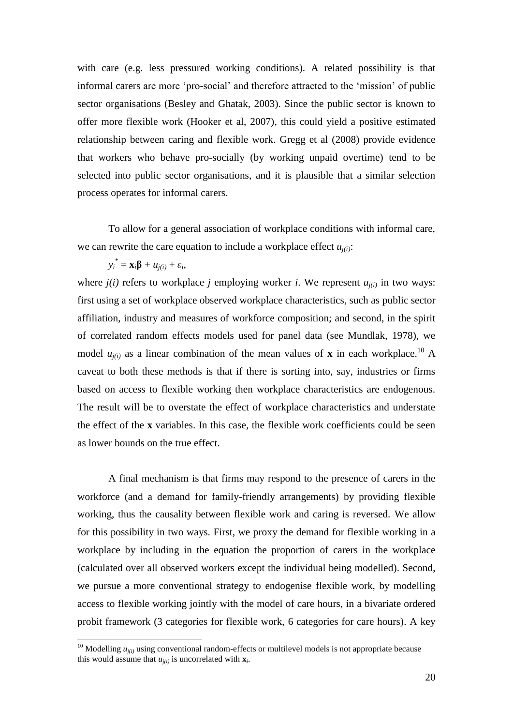with care (e.g. less pressured working conditions). A related possibility is that informal carers are more "pro-social" and therefore attracted to the "mission" of public sector organisations (Besley and Ghatak, 2003). Since the public sector is known to offer more flexible work (Hooker et al, 2007), this could yield a positive estimated relationship between caring and flexible work. Gregg et al (2008) provide evidence that workers who behave pro-socially (by working unpaid overtime) tend to be selected into public sector organisations, and it is plausible that a similar selection process operates for informal carers.

To allow for a general association of workplace conditions with informal care, we can rewrite the care equation to include a workplace effect  $u_{i(i)}$ :

$$
y_i^* = \mathbf{x}_i \mathbf{\beta} + u_{j(i)} + \varepsilon_i,
$$

 $\overline{a}$ 

where  $j(i)$  refers to workplace  $j$  employing worker  $i$ . We represent  $u_{i(i)}$  in two ways: first using a set of workplace observed workplace characteristics, such as public sector affiliation, industry and measures of workforce composition; and second, in the spirit of correlated random effects models used for panel data (see Mundlak, 1978), we model  $u_{j(i)}$  as a linear combination of the mean values of **x** in each workplace.<sup>10</sup> A caveat to both these methods is that if there is sorting into, say, industries or firms based on access to flexible working then workplace characteristics are endogenous. The result will be to overstate the effect of workplace characteristics and understate the effect of the **x** variables. In this case, the flexible work coefficients could be seen as lower bounds on the true effect.

A final mechanism is that firms may respond to the presence of carers in the workforce (and a demand for family-friendly arrangements) by providing flexible working, thus the causality between flexible work and caring is reversed. We allow for this possibility in two ways. First, we proxy the demand for flexible working in a workplace by including in the equation the proportion of carers in the workplace (calculated over all observed workers except the individual being modelled). Second, we pursue a more conventional strategy to endogenise flexible work, by modelling access to flexible working jointly with the model of care hours, in a bivariate ordered probit framework (3 categories for flexible work, 6 categories for care hours). A key

<sup>&</sup>lt;sup>10</sup> Modelling  $u_{i(i)}$  using conventional random-effects or multilevel models is not appropriate because this would assume that  $u_{j(i)}$  is uncorrelated with  $\mathbf{x}_i$ .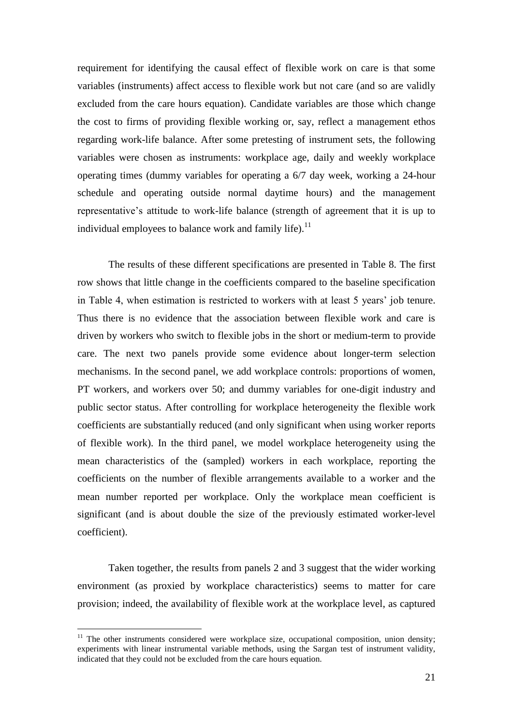requirement for identifying the causal effect of flexible work on care is that some variables (instruments) affect access to flexible work but not care (and so are validly excluded from the care hours equation). Candidate variables are those which change the cost to firms of providing flexible working or, say, reflect a management ethos regarding work-life balance. After some pretesting of instrument sets, the following variables were chosen as instruments: workplace age, daily and weekly workplace operating times (dummy variables for operating a 6/7 day week, working a 24-hour schedule and operating outside normal daytime hours) and the management representative"s attitude to work-life balance (strength of agreement that it is up to individual employees to balance work and family life).<sup>11</sup>

The results of these different specifications are presented in Table 8. The first row shows that little change in the coefficients compared to the baseline specification in Table 4, when estimation is restricted to workers with at least 5 years" job tenure. Thus there is no evidence that the association between flexible work and care is driven by workers who switch to flexible jobs in the short or medium-term to provide care. The next two panels provide some evidence about longer-term selection mechanisms. In the second panel, we add workplace controls: proportions of women, PT workers, and workers over 50; and dummy variables for one-digit industry and public sector status. After controlling for workplace heterogeneity the flexible work coefficients are substantially reduced (and only significant when using worker reports of flexible work). In the third panel, we model workplace heterogeneity using the mean characteristics of the (sampled) workers in each workplace, reporting the coefficients on the number of flexible arrangements available to a worker and the mean number reported per workplace. Only the workplace mean coefficient is significant (and is about double the size of the previously estimated worker-level coefficient).

Taken together, the results from panels 2 and 3 suggest that the wider working environment (as proxied by workplace characteristics) seems to matter for care provision; indeed, the availability of flexible work at the workplace level, as captured

 $\overline{a}$ 

 $11$  The other instruments considered were workplace size, occupational composition, union density; experiments with linear instrumental variable methods, using the Sargan test of instrument validity, indicated that they could not be excluded from the care hours equation.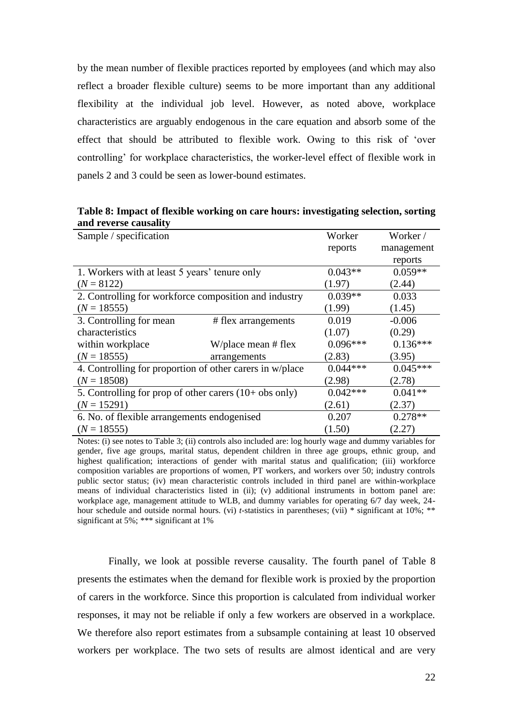by the mean number of flexible practices reported by employees (and which may also reflect a broader flexible culture) seems to be more important than any additional flexibility at the individual job level. However, as noted above, workplace characteristics are arguably endogenous in the care equation and absorb some of the effect that should be attributed to flexible work. Owing to this risk of "over controlling" for workplace characteristics, the worker-level effect of flexible work in panels 2 and 3 could be seen as lower-bound estimates.

| anu Terenoe causancy                          |                                                                   |            |            |
|-----------------------------------------------|-------------------------------------------------------------------|------------|------------|
| Sample / specification                        |                                                                   | Worker     | Worker/    |
|                                               |                                                                   | reports    | management |
|                                               |                                                                   |            | reports    |
| 1. Workers with at least 5 years' tenure only | $0.043**$                                                         | $0.059**$  |            |
| $(N = 8122)$                                  |                                                                   | (1.97)     | (2.44)     |
|                                               | 2. Controlling for workforce composition and industry             | $0.039**$  | 0.033      |
| $(N = 18555)$                                 |                                                                   | (1.99)     | (1.45)     |
| 3. Controlling for mean                       | # flex arrangements                                               | 0.019      | $-0.006$   |
| characteristics                               |                                                                   | (1.07)     | (0.29)     |
| within workplace                              | W/place mean $#$ flex                                             | $0.096***$ | $0.136***$ |
| $(N = 18555)$                                 | arrangements                                                      | (2.83)     | (3.95)     |
|                                               | 4. Controlling for proportion of other carers in w/place          | $0.044***$ | $0.045***$ |
| $(N = 18508)$                                 |                                                                   | (2.98)     | (2.78)     |
|                                               | 5. Controlling for prop of other carers $(10 + obs \text{ only})$ | $0.042***$ | $0.041**$  |
| $(N = 15291)$                                 |                                                                   | (2.61)     | (2.37)     |
| 6. No. of flexible arrangements endogenised   |                                                                   | 0.207      | $0.278**$  |
| $(N = 18555)$                                 |                                                                   | (1.50)     | (2.27)     |

**Table 8: Impact of flexible working on care hours: investigating selection, sorting and reverse causality**

Notes: (i) see notes to Table 3; (ii) controls also included are: log hourly wage and dummy variables for gender, five age groups, marital status, dependent children in three age groups, ethnic group, and highest qualification; interactions of gender with marital status and qualification; (iii) workforce composition variables are proportions of women, PT workers, and workers over 50; industry controls public sector status; (iv) mean characteristic controls included in third panel are within-workplace means of individual characteristics listed in (ii); (v) additional instruments in bottom panel are: workplace age, management attitude to WLB, and dummy variables for operating 6/7 day week, 24 hour schedule and outside normal hours. (vi) *t*-statistics in parentheses; (vii) \* significant at 10%; \*\* significant at 5%; \*\*\* significant at 1%

Finally, we look at possible reverse causality. The fourth panel of Table 8 presents the estimates when the demand for flexible work is proxied by the proportion of carers in the workforce. Since this proportion is calculated from individual worker responses, it may not be reliable if only a few workers are observed in a workplace. We therefore also report estimates from a subsample containing at least 10 observed workers per workplace. The two sets of results are almost identical and are very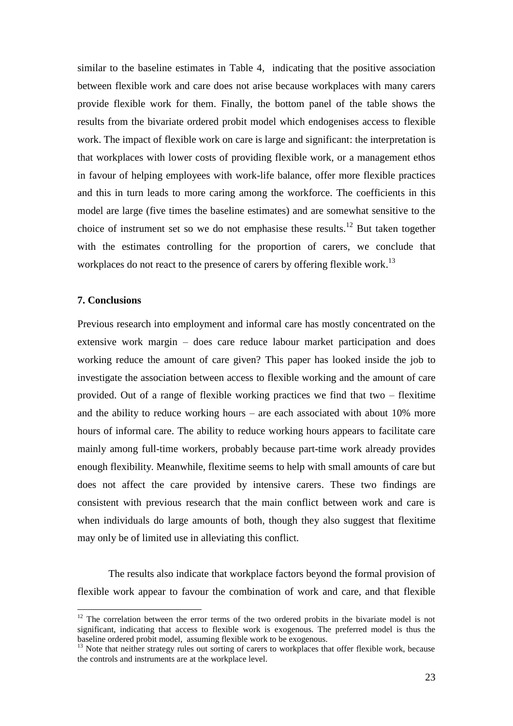similar to the baseline estimates in Table 4, indicating that the positive association between flexible work and care does not arise because workplaces with many carers provide flexible work for them. Finally, the bottom panel of the table shows the results from the bivariate ordered probit model which endogenises access to flexible work. The impact of flexible work on care is large and significant: the interpretation is that workplaces with lower costs of providing flexible work, or a management ethos in favour of helping employees with work-life balance, offer more flexible practices and this in turn leads to more caring among the workforce. The coefficients in this model are large (five times the baseline estimates) and are somewhat sensitive to the choice of instrument set so we do not emphasise these results.<sup>12</sup> But taken together with the estimates controlling for the proportion of carers, we conclude that workplaces do not react to the presence of carers by offering flexible work.<sup>13</sup>

# **7. Conclusions**

 $\overline{a}$ 

Previous research into employment and informal care has mostly concentrated on the extensive work margin – does care reduce labour market participation and does working reduce the amount of care given? This paper has looked inside the job to investigate the association between access to flexible working and the amount of care provided. Out of a range of flexible working practices we find that two – flexitime and the ability to reduce working hours – are each associated with about 10% more hours of informal care. The ability to reduce working hours appears to facilitate care mainly among full-time workers, probably because part-time work already provides enough flexibility. Meanwhile, flexitime seems to help with small amounts of care but does not affect the care provided by intensive carers. These two findings are consistent with previous research that the main conflict between work and care is when individuals do large amounts of both, though they also suggest that flexitime may only be of limited use in alleviating this conflict.

The results also indicate that workplace factors beyond the formal provision of flexible work appear to favour the combination of work and care, and that flexible

 $12$  The correlation between the error terms of the two ordered probits in the bivariate model is not significant, indicating that access to flexible work is exogenous. The preferred model is thus the baseline ordered probit model, assuming flexible work to be exogenous.

<sup>&</sup>lt;sup>13</sup> Note that neither strategy rules out sorting of carers to workplaces that offer flexible work, because the controls and instruments are at the workplace level.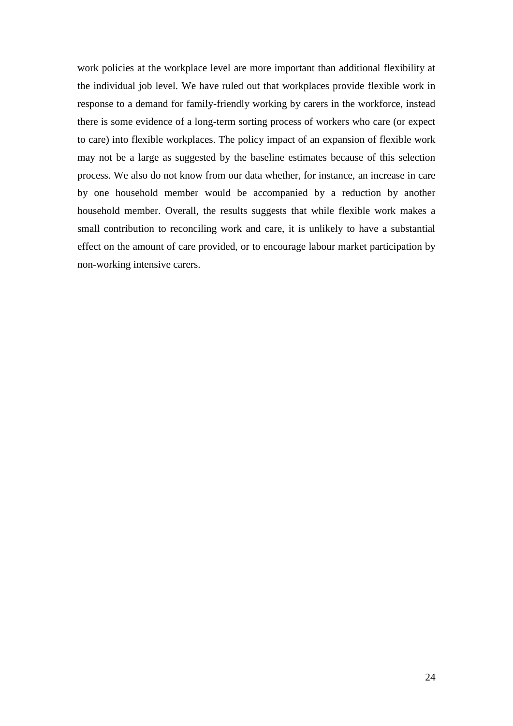work policies at the workplace level are more important than additional flexibility at the individual job level. We have ruled out that workplaces provide flexible work in response to a demand for family-friendly working by carers in the workforce, instead there is some evidence of a long-term sorting process of workers who care (or expect to care) into flexible workplaces. The policy impact of an expansion of flexible work may not be a large as suggested by the baseline estimates because of this selection process. We also do not know from our data whether, for instance, an increase in care by one household member would be accompanied by a reduction by another household member. Overall, the results suggests that while flexible work makes a small contribution to reconciling work and care, it is unlikely to have a substantial effect on the amount of care provided, or to encourage labour market participation by non-working intensive carers.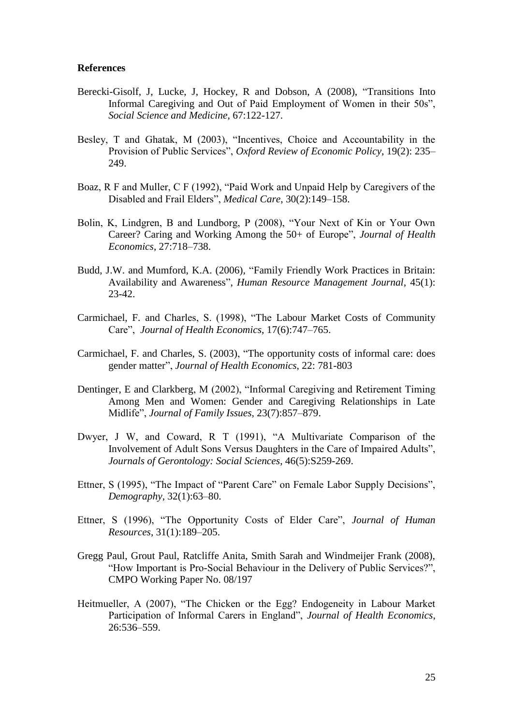## **References**

- Berecki-Gisolf, J, Lucke, J, Hockey, R and Dobson, A (2008), "Transitions Into Informal Caregiving and Out of Paid Employment of Women in their 50s", *Social Science and Medicine*, 67:122-127.
- Besley, T and Ghatak, M (2003), "Incentives, Choice and Accountability in the Provision of Public Services", *Oxford Review of Economic Policy*, 19(2): 235– 249.
- Boaz, R F and Muller, C F (1992), "Paid Work and Unpaid Help by Caregivers of the Disabled and Frail Elders", *Medical Care*, 30(2):149–158.
- Bolin, K, Lindgren, B and Lundborg, P (2008), "Your Next of Kin or Your Own Career? Caring and Working Among the 50+ of Europe", *Journal of Health Economics*, 27:718–738.
- Budd, J.W. and Mumford, K.A. (2006), "Family Friendly Work Practices in Britain: Availability and Awareness", *Human Resource Management Journal*, 45(1): 23-42.
- Carmichael, F. and Charles, S. (1998), "The Labour Market Costs of Community Care", *Journal of Health Economics*, 17(6):747–765.
- Carmichael, F. and Charles, S. (2003), "The opportunity costs of informal care: does gender matter", *Journal of Health Economics*, 22: 781-803
- Dentinger, E and Clarkberg, M (2002), "Informal Caregiving and Retirement Timing Among Men and Women: Gender and Caregiving Relationships in Late Midlife", *Journal of Family Issues*, 23(7):857–879.
- Dwyer, J W, and Coward, R T (1991), "A Multivariate Comparison of the Involvement of Adult Sons Versus Daughters in the Care of Impaired Adults", *Journals of Gerontology: Social Sciences*, 46(5):S259-269.
- Ettner, S (1995), "The Impact of "Parent Care" on Female Labor Supply Decisions", *Demography*, 32(1):63–80.
- Ettner, S (1996), "The Opportunity Costs of Elder Care", *Journal of Human Resources*, 31(1):189–205.
- Gregg Paul, Grout Paul, Ratcliffe Anita, Smith Sarah and Windmeijer Frank (2008), "How Important is Pro-Social Behaviour in the Delivery of Public Services?", CMPO Working Paper No. 08/197
- Heitmueller, A (2007), "The Chicken or the Egg? Endogeneity in Labour Market Participation of Informal Carers in England", *Journal of Health Economics*, 26:536–559.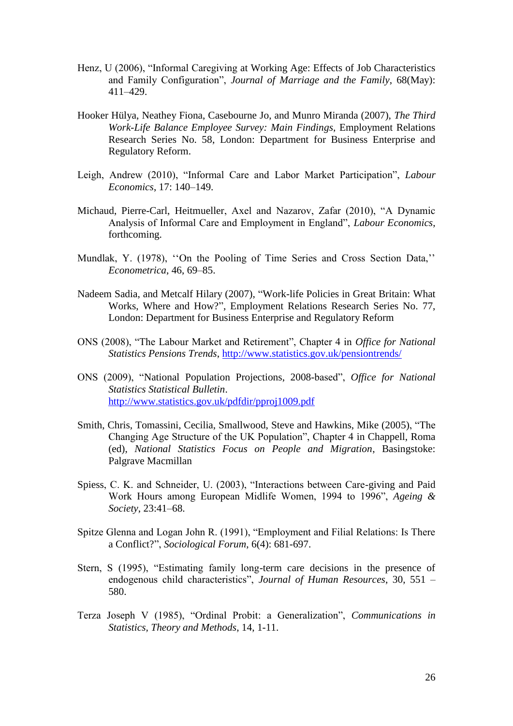- Henz, U (2006), "Informal Caregiving at Working Age: Effects of Job Characteristics and Family Configuration", *Journal of Marriage and the Family*, 68(May): 411–429.
- Hooker Hülya, Neathey Fiona, Casebourne Jo, and Munro Miranda (2007), *The Third Work-Life Balance Employee Survey: Main Findings*, Employment Relations Research Series No. 58, London: Department for Business Enterprise and Regulatory Reform.
- Leigh, Andrew (2010), "Informal Care and Labor Market Participation", *Labour Economics*, 17: 140–149.
- Michaud, Pierre-Carl, Heitmueller, Axel and Nazarov, Zafar (2010), "A Dynamic Analysis of Informal Care and Employment in England", *Labour Economics*, forthcoming.
- Mundlak, Y. (1978), "On the Pooling of Time Series and Cross Section Data," *Econometrica*, 46, 69–85.
- Nadeem Sadia, and Metcalf Hilary (2007), "Work-life Policies in Great Britain: What Works, Where and How?", Employment Relations Research Series No. 77, London: Department for Business Enterprise and Regulatory Reform
- ONS (2008), "The Labour Market and Retirement", Chapter 4 in *Office for National Statistics Pensions Trends*,<http://www.statistics.gov.uk/pensiontrends/>
- ONS (2009), "National Population Projections, 2008-based", *Office for National Statistics Statistical Bulletin*. <http://www.statistics.gov.uk/pdfdir/pproj1009.pdf>
- Smith, Chris, Tomassini, Cecilia, Smallwood, Steve and Hawkins, Mike (2005), "The Changing Age Structure of the UK Population", Chapter 4 in Chappell, Roma (ed), *National Statistics Focus on People and Migration*, Basingstoke: Palgrave Macmillan
- Spiess, C. K. and Schneider, U. (2003), "Interactions between Care-giving and Paid Work Hours among European Midlife Women, 1994 to 1996", *Ageing & Society*, 23:41–68.
- Spitze Glenna and Logan John R. (1991), "Employment and Filial Relations: Is There a Conflict?", *Sociological Forum*, 6(4): 681-697.
- Stern, S (1995), "Estimating family long-term care decisions in the presence of endogenous child characteristics", *Journal of Human Resources*, 30, 551 – 580.
- Terza Joseph V (1985), "Ordinal Probit: a Generalization", *Communications in Statistics, Theory and Methods*, 14, 1-11.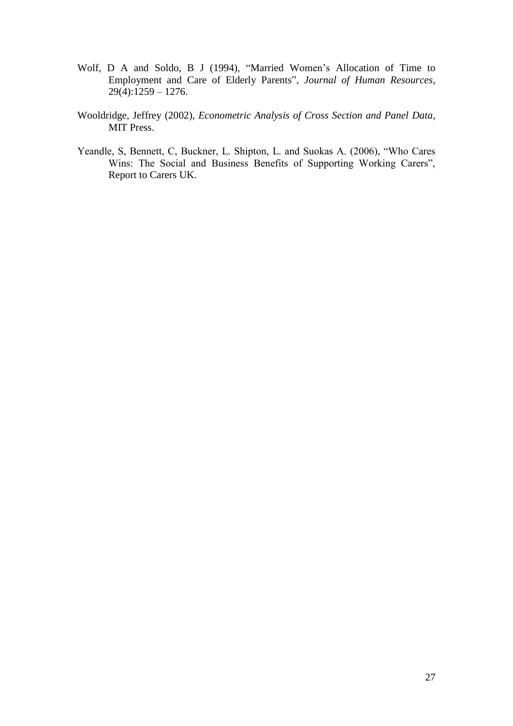- Wolf, D A and Soldo, B J (1994), "Married Women"s Allocation of Time to Employment and Care of Elderly Parents", *Journal of Human Resources*,  $29(4):1259 - 1276.$
- Wooldridge, Jeffrey (2002), *Econometric Analysis of Cross Section and Panel Data*, MIT Press.
- Yeandle, S, Bennett, C, Buckner, L. Shipton, L. and Suokas A. (2006), "Who Cares Wins: The Social and Business Benefits of Supporting Working Carers", Report to Carers UK.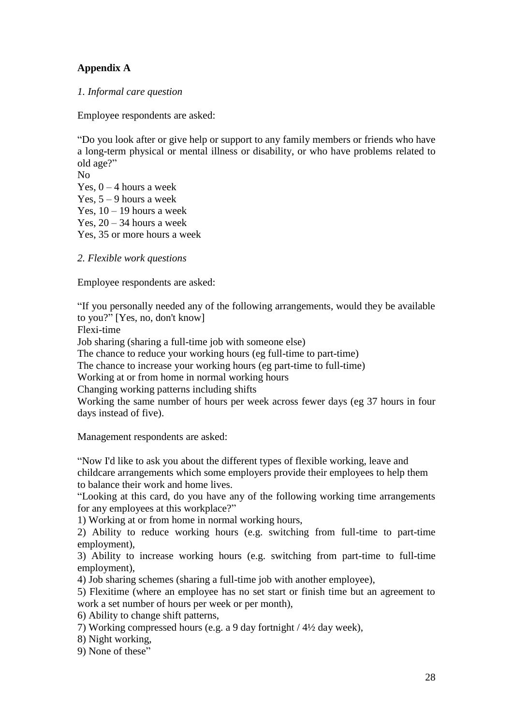# **Appendix A**

*1. Informal care question*

Employee respondents are asked:

"Do you look after or give help or support to any family members or friends who have a long-term physical or mental illness or disability, or who have problems related to old age?" No Yes,  $0 - 4$  hours a week

Yes,  $5 - 9$  hours a week Yes,  $10 - 19$  hours a week Yes,  $20 - 34$  hours a week Yes, 35 or more hours a week

*2. Flexible work questions*

Employee respondents are asked:

"If you personally needed any of the following arrangements, would they be available to you?" [Yes, no, don't know]

Flexi-time

Job sharing (sharing a full-time job with someone else)

The chance to reduce your working hours (eg full-time to part-time)

The chance to increase your working hours (eg part-time to full-time)

Working at or from home in normal working hours

Changing working patterns including shifts

Working the same number of hours per week across fewer days (eg 37 hours in four days instead of five).

Management respondents are asked:

"Now I'd like to ask you about the different types of flexible working, leave and childcare arrangements which some employers provide their employees to help them to balance their work and home lives.

"Looking at this card, do you have any of the following working time arrangements for any employees at this workplace?"

1) Working at or from home in normal working hours,

2) Ability to reduce working hours (e.g. switching from full-time to part-time employment),

3) Ability to increase working hours (e.g. switching from part-time to full-time employment),

4) Job sharing schemes (sharing a full-time job with another employee),

5) Flexitime (where an employee has no set start or finish time but an agreement to work a set number of hours per week or per month),

- 6) Ability to change shift patterns,
- 7) Working compressed hours (e.g. a 9 day fortnight / 4½ day week),
- 8) Night working,

9) None of these"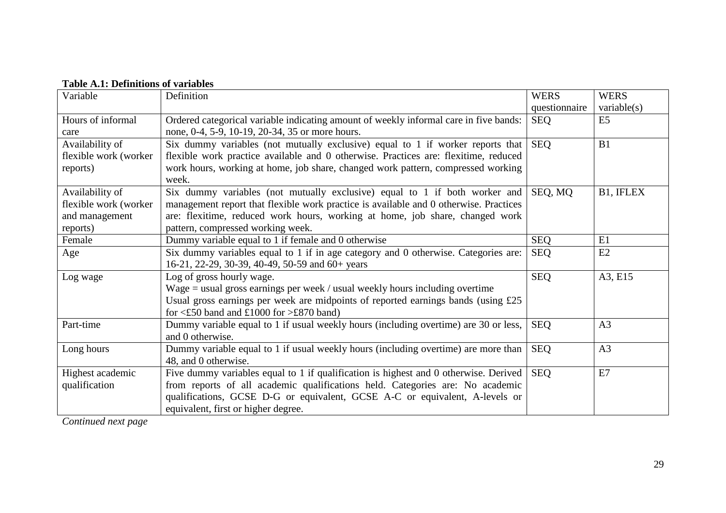| Variable                                                               | Definition                                                                                                                                                                                                                                                                                  | <b>WERS</b>   | <b>WERS</b>    |
|------------------------------------------------------------------------|---------------------------------------------------------------------------------------------------------------------------------------------------------------------------------------------------------------------------------------------------------------------------------------------|---------------|----------------|
|                                                                        |                                                                                                                                                                                                                                                                                             | questionnaire | variable(s)    |
| Hours of informal<br>care                                              | Ordered categorical variable indicating amount of weekly informal care in five bands:<br>none, 0-4, 5-9, 10-19, 20-34, 35 or more hours.                                                                                                                                                    | <b>SEQ</b>    | E <sub>5</sub> |
| Availability of<br>flexible work (worker<br>reports)                   | Six dummy variables (not mutually exclusive) equal to 1 if worker reports that<br>flexible work practice available and 0 otherwise. Practices are: flexitime, reduced<br>work hours, working at home, job share, changed work pattern, compressed working<br>week.                          | <b>SEQ</b>    | B1             |
| Availability of<br>flexible work (worker<br>and management<br>reports) | Six dummy variables (not mutually exclusive) equal to 1 if both worker and<br>management report that flexible work practice is available and 0 otherwise. Practices<br>are: flexitime, reduced work hours, working at home, job share, changed work<br>pattern, compressed working week.    | SEQ, MQ       | B1, IFLEX      |
| Female                                                                 | Dummy variable equal to 1 if female and 0 otherwise                                                                                                                                                                                                                                         | <b>SEQ</b>    | E1             |
| Age                                                                    | Six dummy variables equal to 1 if in age category and 0 otherwise. Categories are:<br>16-21, 22-29, 30-39, 40-49, 50-59 and 60+ years                                                                                                                                                       | <b>SEQ</b>    | E2             |
| Log wage                                                               | Log of gross hourly wage.<br>Wage $=$ usual gross earnings per week / usual weekly hours including overtime<br>Usual gross earnings per week are midpoints of reported earnings bands (using £25<br>for $\leq$ £50 band and £1000 for $\geq$ £870 band)                                     | <b>SEQ</b>    | A3, E15        |
| Part-time                                                              | Dummy variable equal to 1 if usual weekly hours (including overtime) are 30 or less,<br>and 0 otherwise.                                                                                                                                                                                    | <b>SEQ</b>    | A <sub>3</sub> |
| Long hours                                                             | Dummy variable equal to 1 if usual weekly hours (including overtime) are more than<br>48, and 0 otherwise.                                                                                                                                                                                  | <b>SEQ</b>    | A <sub>3</sub> |
| Highest academic<br>qualification                                      | Five dummy variables equal to 1 if qualification is highest and 0 otherwise. Derived<br>from reports of all academic qualifications held. Categories are: No academic<br>qualifications, GCSE D-G or equivalent, GCSE A-C or equivalent, A-levels or<br>equivalent, first or higher degree. | <b>SEQ</b>    | E7             |

# **Table A.1: Definitions of variables**

*Continued next page*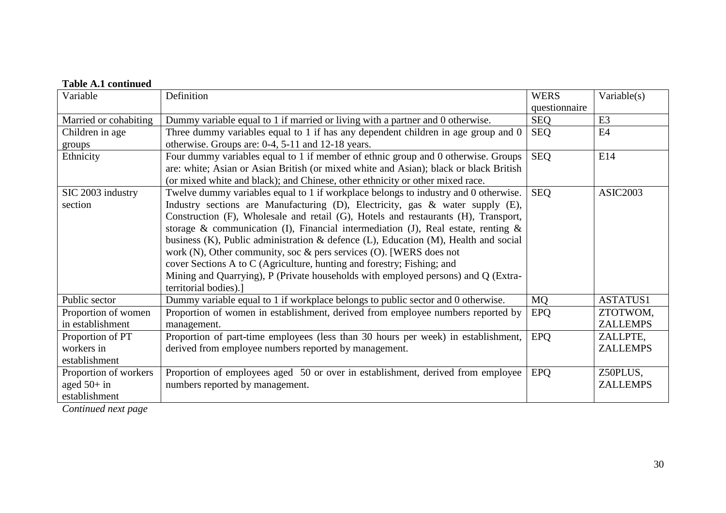| <b>Table A.1 continued</b> |                                                                                              |               |                 |
|----------------------------|----------------------------------------------------------------------------------------------|---------------|-----------------|
| Variable                   | Definition                                                                                   | <b>WERS</b>   | Variable $(s)$  |
|                            |                                                                                              | questionnaire |                 |
| Married or cohabiting      | Dummy variable equal to 1 if married or living with a partner and 0 otherwise.               | <b>SEQ</b>    | E <sub>3</sub>  |
| Children in age            | Three dummy variables equal to 1 if has any dependent children in age group and 0            | <b>SEQ</b>    | E <sub>4</sub>  |
| groups                     | otherwise. Groups are: 0-4, 5-11 and 12-18 years.                                            |               |                 |
| Ethnicity                  | Four dummy variables equal to 1 if member of ethnic group and 0 otherwise. Groups            | <b>SEQ</b>    | E14             |
|                            | are: white; Asian or Asian British (or mixed white and Asian); black or black British        |               |                 |
|                            | (or mixed white and black); and Chinese, other ethnicity or other mixed race.                |               |                 |
| SIC 2003 industry          | Twelve dummy variables equal to 1 if workplace belongs to industry and 0 otherwise.          | <b>SEQ</b>    | <b>ASIC2003</b> |
| section                    | Industry sections are Manufacturing (D), Electricity, gas & water supply (E),                |               |                 |
|                            | Construction (F), Wholesale and retail (G), Hotels and restaurants (H), Transport,           |               |                 |
|                            | storage & communication (I), Financial intermediation (J), Real estate, renting $\&$         |               |                 |
|                            | business $(K)$ , Public administration & defence $(L)$ , Education $(M)$ , Health and social |               |                 |
|                            | work $(N)$ , Other community, soc & pers services $(O)$ . [WERS does not                     |               |                 |
|                            | cover Sections A to C (Agriculture, hunting and forestry; Fishing; and                       |               |                 |
|                            | Mining and Quarrying), P (Private households with employed persons) and Q (Extra-            |               |                 |
|                            | territorial bodies).]                                                                        |               |                 |
| Public sector              | Dummy variable equal to 1 if workplace belongs to public sector and 0 otherwise.             | <b>MO</b>     | <b>ASTATUS1</b> |
| Proportion of women        | Proportion of women in establishment, derived from employee numbers reported by              | <b>EPQ</b>    | ZTOTWOM,        |
| in establishment           | management.                                                                                  |               | <b>ZALLEMPS</b> |
| Proportion of PT           | Proportion of part-time employees (less than 30 hours per week) in establishment,            | <b>EPQ</b>    | ZALLPTE,        |
| workers in                 | derived from employee numbers reported by management.                                        |               | <b>ZALLEMPS</b> |
| establishment              |                                                                                              |               |                 |
| Proportion of workers      | Proportion of employees aged 50 or over in establishment, derived from employee              | <b>EPQ</b>    | Z50PLUS,        |
| aged $50+$ in              | numbers reported by management.                                                              |               | <b>ZALLEMPS</b> |
| establishment              |                                                                                              |               |                 |

*Continued next page*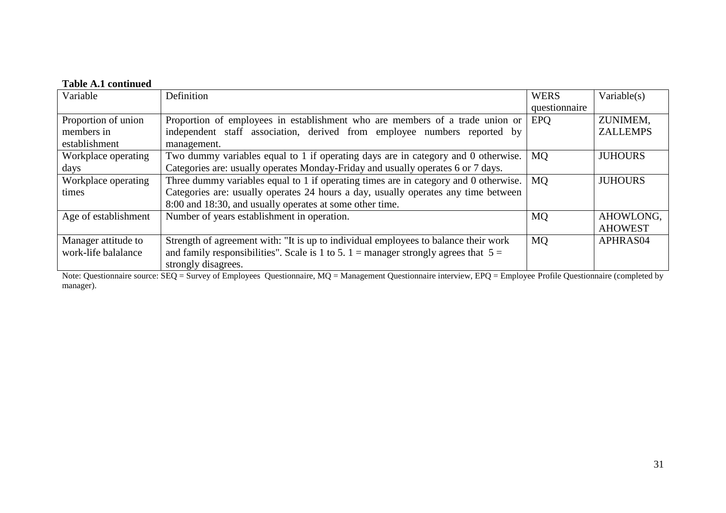# **Table A.1 continued**

| Variable             | Definition                                                                            | <b>WERS</b>   | Variable $(s)$  |
|----------------------|---------------------------------------------------------------------------------------|---------------|-----------------|
|                      |                                                                                       | questionnaire |                 |
| Proportion of union  | Proportion of employees in establishment who are members of a trade union or          | <b>EPO</b>    | ZUNIMEM,        |
| members in           | independent staff association, derived from employee numbers reported by              |               | <b>ZALLEMPS</b> |
| establishment        | management.                                                                           |               |                 |
| Workplace operating  | Two dummy variables equal to 1 if operating days are in category and 0 otherwise.     | MQ.           | <b>JUHOURS</b>  |
| days                 | Categories are: usually operates Monday-Friday and usually operates 6 or 7 days.      |               |                 |
| Workplace operating  | Three dummy variables equal to 1 if operating times are in category and 0 otherwise.  | <b>MO</b>     | <b>JUHOURS</b>  |
| times                | Categories are: usually operates 24 hours a day, usually operates any time between    |               |                 |
|                      | 8:00 and 18:30, and usually operates at some other time.                              |               |                 |
| Age of establishment | Number of years establishment in operation.                                           | <b>MQ</b>     | AHOWLONG.       |
|                      |                                                                                       |               | <b>AHOWEST</b>  |
| Manager attitude to  | Strength of agreement with: "It is up to individual employees to balance their work   | <b>MQ</b>     | APHRAS04        |
| work-life balalance  | and family responsibilities". Scale is 1 to 5. 1 = manager strongly agrees that $5 =$ |               |                 |
|                      | strongly disagrees.                                                                   |               |                 |

Note: Questionnaire source: SEQ = Survey of Employees Questionnaire, MQ = Management Questionnaire interview, EPQ = Employee Profile Questionnaire (completed by manager).